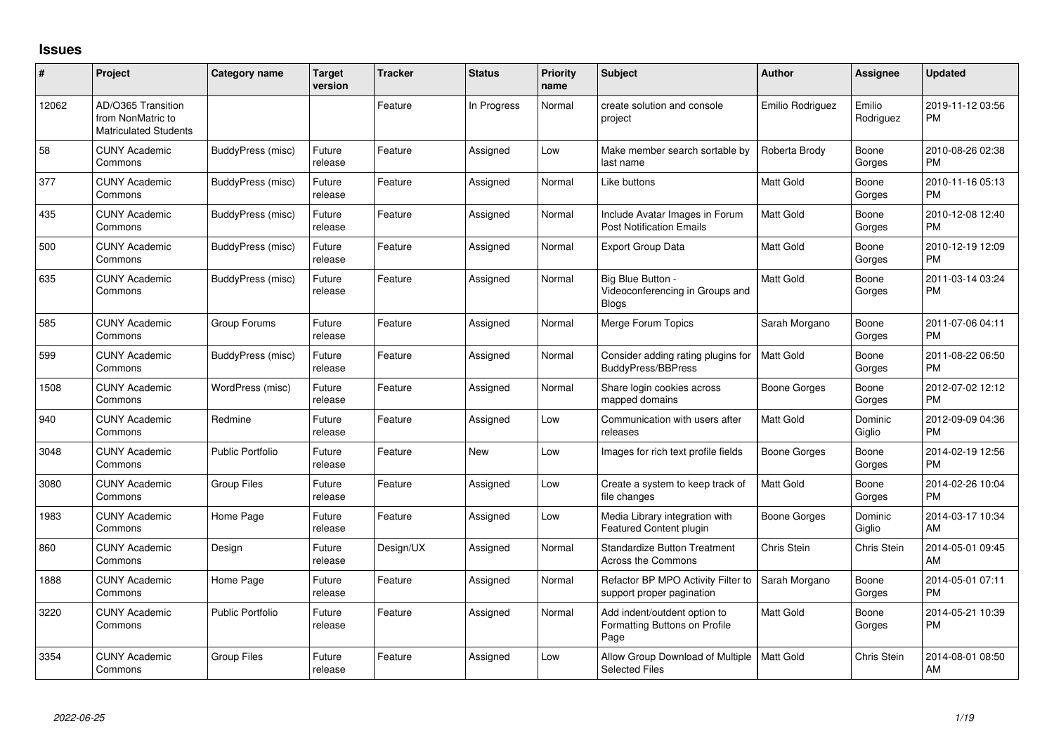## **Issues**

| #     | <b>Project</b>                                                          | <b>Category name</b>    | <b>Target</b><br>version | <b>Tracker</b> | <b>Status</b> | <b>Priority</b><br>name | Subject                                                               | <b>Author</b>    | <b>Assignee</b>     | <b>Updated</b>                |
|-------|-------------------------------------------------------------------------|-------------------------|--------------------------|----------------|---------------|-------------------------|-----------------------------------------------------------------------|------------------|---------------------|-------------------------------|
| 12062 | AD/O365 Transition<br>from NonMatric to<br><b>Matriculated Students</b> |                         |                          | Feature        | In Progress   | Normal                  | create solution and console<br>project                                | Emilio Rodriguez | Emilio<br>Rodriguez | 2019-11-12 03:56<br><b>PM</b> |
| 58    | <b>CUNY Academic</b><br>Commons                                         | BuddyPress (misc)       | Future<br>release        | Feature        | Assigned      | Low                     | Make member search sortable by<br>last name                           | Roberta Brody    | Boone<br>Gorges     | 2010-08-26 02:38<br><b>PM</b> |
| 377   | <b>CUNY Academic</b><br>Commons                                         | BuddyPress (misc)       | Future<br>release        | Feature        | Assigned      | Normal                  | Like buttons                                                          | <b>Matt Gold</b> | Boone<br>Gorges     | 2010-11-16 05:13<br><b>PM</b> |
| 435   | <b>CUNY Academic</b><br>Commons                                         | BuddyPress (misc)       | Future<br>release        | Feature        | Assigned      | Normal                  | Include Avatar Images in Forum<br><b>Post Notification Emails</b>     | <b>Matt Gold</b> | Boone<br>Gorges     | 2010-12-08 12:40<br><b>PM</b> |
| 500   | <b>CUNY Academic</b><br>Commons                                         | BuddyPress (misc)       | Future<br>release        | Feature        | Assigned      | Normal                  | <b>Export Group Data</b>                                              | <b>Matt Gold</b> | Boone<br>Gorges     | 2010-12-19 12:09<br><b>PM</b> |
| 635   | <b>CUNY Academic</b><br>Commons                                         | BuddyPress (misc)       | Future<br>release        | Feature        | Assigned      | Normal                  | Big Blue Button -<br>Videoconferencing in Groups and<br><b>Blogs</b>  | <b>Matt Gold</b> | Boone<br>Gorges     | 2011-03-14 03:24<br><b>PM</b> |
| 585   | <b>CUNY Academic</b><br>Commons                                         | Group Forums            | Future<br>release        | Feature        | Assigned      | Normal                  | Merge Forum Topics                                                    | Sarah Morgano    | Boone<br>Gorges     | 2011-07-06 04:11<br><b>PM</b> |
| 599   | <b>CUNY Academic</b><br>Commons                                         | BuddyPress (misc)       | Future<br>release        | Feature        | Assigned      | Normal                  | Consider adding rating plugins for<br><b>BuddyPress/BBPress</b>       | <b>Matt Gold</b> | Boone<br>Gorges     | 2011-08-22 06:50<br><b>PM</b> |
| 1508  | <b>CUNY Academic</b><br>Commons                                         | WordPress (misc)        | Future<br>release        | Feature        | Assigned      | Normal                  | Share login cookies across<br>mapped domains                          | Boone Gorges     | Boone<br>Gorges     | 2012-07-02 12:12<br><b>PM</b> |
| 940   | <b>CUNY Academic</b><br>Commons                                         | Redmine                 | Future<br>release        | Feature        | Assigned      | Low                     | Communication with users after<br>releases                            | Matt Gold        | Dominic<br>Giglio   | 2012-09-09 04:36<br><b>PM</b> |
| 3048  | <b>CUNY Academic</b><br>Commons                                         | <b>Public Portfolio</b> | Future<br>release        | Feature        | <b>New</b>    | Low                     | Images for rich text profile fields                                   | Boone Gorges     | Boone<br>Gorges     | 2014-02-19 12:56<br><b>PM</b> |
| 3080  | <b>CUNY Academic</b><br>Commons                                         | <b>Group Files</b>      | Future<br>release        | Feature        | Assigned      | Low                     | Create a system to keep track of<br>file changes                      | Matt Gold        | Boone<br>Gorges     | 2014-02-26 10:04<br><b>PM</b> |
| 1983  | <b>CUNY Academic</b><br>Commons                                         | Home Page               | Future<br>release        | Feature        | Assigned      | Low                     | Media Library integration with<br><b>Featured Content plugin</b>      | Boone Gorges     | Dominic<br>Giglio   | 2014-03-17 10:34<br>AM        |
| 860   | <b>CUNY Academic</b><br>Commons                                         | Design                  | Future<br>release        | Design/UX      | Assigned      | Normal                  | <b>Standardize Button Treatment</b><br><b>Across the Commons</b>      | Chris Stein      | Chris Stein         | 2014-05-01 09:45<br>AM        |
| 1888  | <b>CUNY Academic</b><br>Commons                                         | Home Page               | Future<br>release        | Feature        | Assigned      | Normal                  | Refactor BP MPO Activity Filter to<br>support proper pagination       | Sarah Morgano    | Boone<br>Gorges     | 2014-05-01 07:11<br><b>PM</b> |
| 3220  | <b>CUNY Academic</b><br>Commons                                         | Public Portfolio        | Future<br>release        | Feature        | Assigned      | Normal                  | Add indent/outdent option to<br>Formatting Buttons on Profile<br>Page | Matt Gold        | Boone<br>Gorges     | 2014-05-21 10:39<br><b>PM</b> |
| 3354  | <b>CUNY Academic</b><br>Commons                                         | <b>Group Files</b>      | Future<br>release        | Feature        | Assigned      | Low                     | Allow Group Download of Multiple<br><b>Selected Files</b>             | Matt Gold        | Chris Stein         | 2014-08-01 08:50<br>AM        |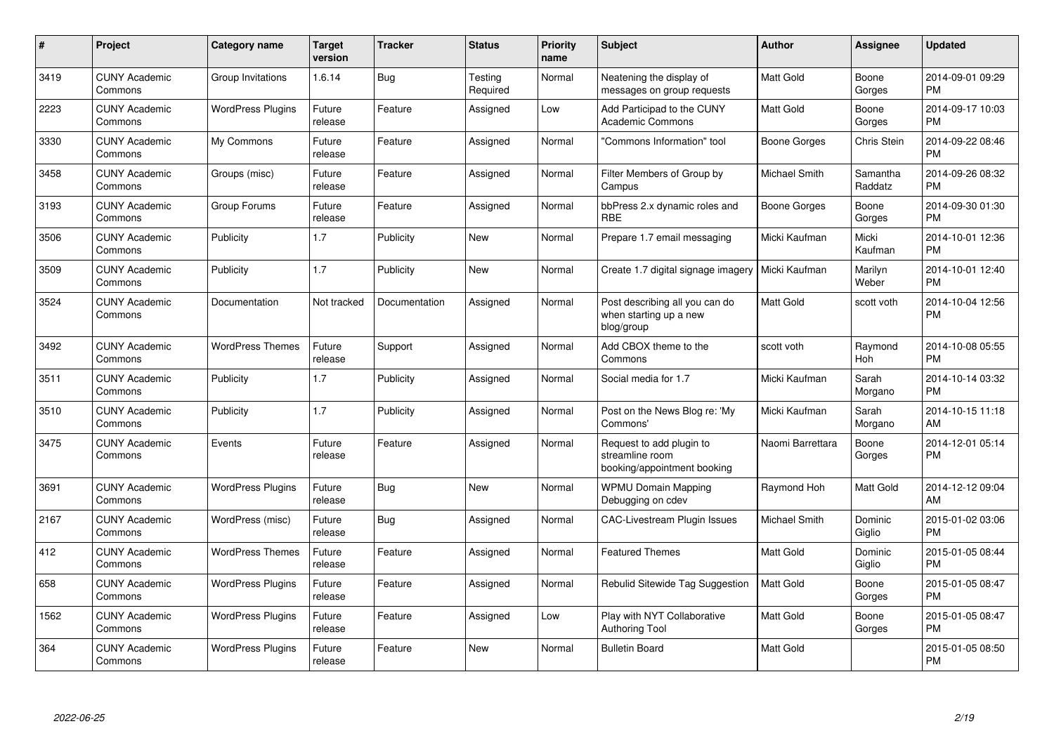| #    | Project                         | <b>Category name</b>     | <b>Target</b><br>version | <b>Tracker</b> | <b>Status</b>       | <b>Priority</b><br>name | <b>Subject</b>                                                             | <b>Author</b>    | <b>Assignee</b>       | <b>Updated</b>                |
|------|---------------------------------|--------------------------|--------------------------|----------------|---------------------|-------------------------|----------------------------------------------------------------------------|------------------|-----------------------|-------------------------------|
| 3419 | <b>CUNY Academic</b><br>Commons | Group Invitations        | 1.6.14                   | Bug            | Testing<br>Required | Normal                  | Neatening the display of<br>messages on group requests                     | <b>Matt Gold</b> | Boone<br>Gorges       | 2014-09-01 09:29<br><b>PM</b> |
| 2223 | <b>CUNY Academic</b><br>Commons | <b>WordPress Plugins</b> | Future<br>release        | Feature        | Assigned            | Low                     | Add Participad to the CUNY<br><b>Academic Commons</b>                      | <b>Matt Gold</b> | Boone<br>Gorges       | 2014-09-17 10:03<br><b>PM</b> |
| 3330 | <b>CUNY Academic</b><br>Commons | My Commons               | Future<br>release        | Feature        | Assigned            | Normal                  | "Commons Information" tool                                                 | Boone Gorges     | Chris Stein           | 2014-09-22 08:46<br><b>PM</b> |
| 3458 | <b>CUNY Academic</b><br>Commons | Groups (misc)            | Future<br>release        | Feature        | Assigned            | Normal                  | Filter Members of Group by<br>Campus                                       | Michael Smith    | Samantha<br>Raddatz   | 2014-09-26 08:32<br><b>PM</b> |
| 3193 | <b>CUNY Academic</b><br>Commons | Group Forums             | Future<br>release        | Feature        | Assigned            | Normal                  | bbPress 2.x dynamic roles and<br><b>RBE</b>                                | Boone Gorges     | Boone<br>Gorges       | 2014-09-30 01:30<br><b>PM</b> |
| 3506 | <b>CUNY Academic</b><br>Commons | Publicity                | 1.7                      | Publicity      | <b>New</b>          | Normal                  | Prepare 1.7 email messaging                                                | Micki Kaufman    | Micki<br>Kaufman      | 2014-10-01 12:36<br><b>PM</b> |
| 3509 | <b>CUNY Academic</b><br>Commons | Publicity                | 1.7                      | Publicity      | <b>New</b>          | Normal                  | Create 1.7 digital signage imagery                                         | Micki Kaufman    | Marilyn<br>Weber      | 2014-10-01 12:40<br><b>PM</b> |
| 3524 | <b>CUNY Academic</b><br>Commons | Documentation            | Not tracked              | Documentation  | Assigned            | Normal                  | Post describing all you can do<br>when starting up a new<br>blog/group     | Matt Gold        | scott voth            | 2014-10-04 12:56<br><b>PM</b> |
| 3492 | <b>CUNY Academic</b><br>Commons | <b>WordPress Themes</b>  | Future<br>release        | Support        | Assigned            | Normal                  | Add CBOX theme to the<br>Commons                                           | scott voth       | Raymond<br><b>Hoh</b> | 2014-10-08 05:55<br><b>PM</b> |
| 3511 | <b>CUNY Academic</b><br>Commons | Publicity                | 1.7                      | Publicity      | Assigned            | Normal                  | Social media for 1.7                                                       | Micki Kaufman    | Sarah<br>Morgano      | 2014-10-14 03:32<br><b>PM</b> |
| 3510 | <b>CUNY Academic</b><br>Commons | Publicity                | 1.7                      | Publicity      | Assigned            | Normal                  | Post on the News Blog re: 'My<br>Commons'                                  | Micki Kaufman    | Sarah<br>Morgano      | 2014-10-15 11:18<br>AM        |
| 3475 | <b>CUNY Academic</b><br>Commons | Events                   | Future<br>release        | Feature        | Assigned            | Normal                  | Request to add plugin to<br>streamline room<br>booking/appointment booking | Naomi Barrettara | Boone<br>Gorges       | 2014-12-01 05:14<br>PM        |
| 3691 | <b>CUNY Academic</b><br>Commons | <b>WordPress Plugins</b> | Future<br>release        | Bug            | <b>New</b>          | Normal                  | <b>WPMU Domain Mapping</b><br>Debugging on cdev                            | Raymond Hoh      | Matt Gold             | 2014-12-12 09:04<br>AM        |
| 2167 | <b>CUNY Academic</b><br>Commons | WordPress (misc)         | Future<br>release        | Bug            | Assigned            | Normal                  | <b>CAC-Livestream Plugin Issues</b>                                        | Michael Smith    | Dominic<br>Giglio     | 2015-01-02 03:06<br><b>PM</b> |
| 412  | <b>CUNY Academic</b><br>Commons | <b>WordPress Themes</b>  | Future<br>release        | Feature        | Assigned            | Normal                  | <b>Featured Themes</b>                                                     | <b>Matt Gold</b> | Dominic<br>Giglio     | 2015-01-05 08:44<br><b>PM</b> |
| 658  | <b>CUNY Academic</b><br>Commons | <b>WordPress Plugins</b> | Future<br>release        | Feature        | Assigned            | Normal                  | Rebulid Sitewide Tag Suggestion                                            | <b>Matt Gold</b> | Boone<br>Gorges       | 2015-01-05 08:47<br><b>PM</b> |
| 1562 | <b>CUNY Academic</b><br>Commons | <b>WordPress Plugins</b> | Future<br>release        | Feature        | Assigned            | Low                     | Play with NYT Collaborative<br><b>Authoring Tool</b>                       | Matt Gold        | Boone<br>Gorges       | 2015-01-05 08:47<br><b>PM</b> |
| 364  | <b>CUNY Academic</b><br>Commons | <b>WordPress Plugins</b> | Future<br>release        | Feature        | <b>New</b>          | Normal                  | <b>Bulletin Board</b>                                                      | Matt Gold        |                       | 2015-01-05 08:50<br>PM        |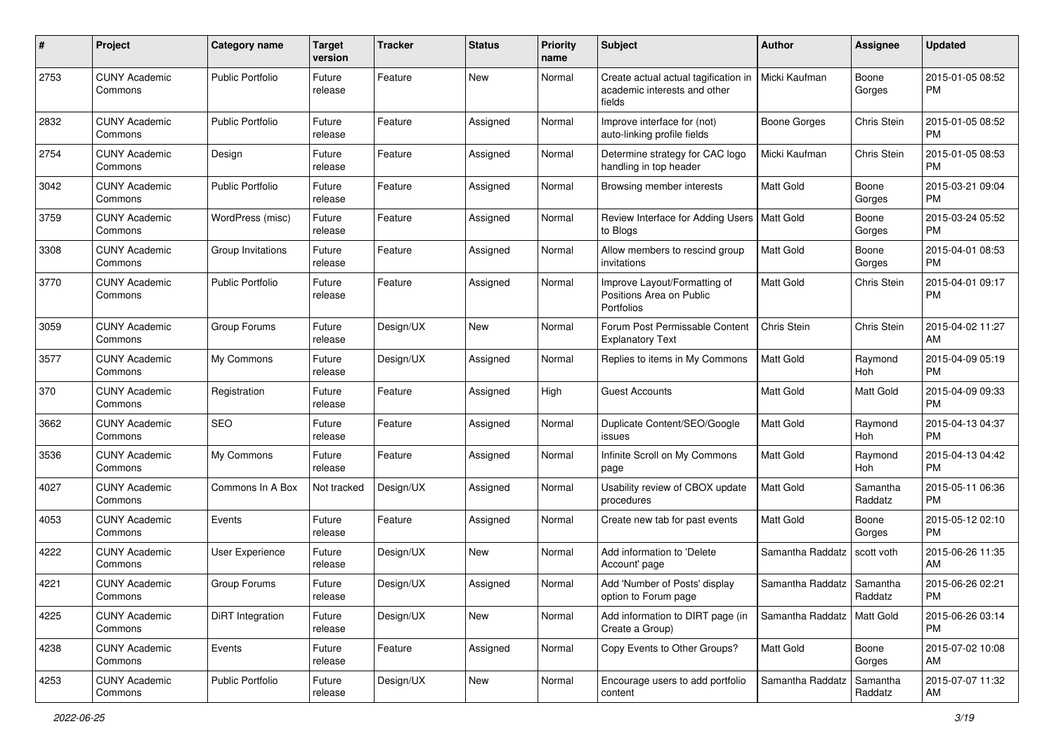| #    | Project                         | <b>Category name</b>    | <b>Target</b><br>version | <b>Tracker</b> | <b>Status</b> | <b>Priority</b><br>name | <b>Subject</b>                                                                 | Author              | Assignee            | <b>Updated</b>                |
|------|---------------------------------|-------------------------|--------------------------|----------------|---------------|-------------------------|--------------------------------------------------------------------------------|---------------------|---------------------|-------------------------------|
| 2753 | <b>CUNY Academic</b><br>Commons | <b>Public Portfolio</b> | Future<br>release        | Feature        | <b>New</b>    | Normal                  | Create actual actual tagification in<br>academic interests and other<br>fields | Micki Kaufman       | Boone<br>Gorges     | 2015-01-05 08:52<br><b>PM</b> |
| 2832 | <b>CUNY Academic</b><br>Commons | <b>Public Portfolio</b> | Future<br>release        | Feature        | Assigned      | Normal                  | Improve interface for (not)<br>auto-linking profile fields                     | <b>Boone Gorges</b> | Chris Stein         | 2015-01-05 08:52<br>PM        |
| 2754 | <b>CUNY Academic</b><br>Commons | Design                  | Future<br>release        | Feature        | Assigned      | Normal                  | Determine strategy for CAC logo<br>handling in top header                      | Micki Kaufman       | Chris Stein         | 2015-01-05 08:53<br><b>PM</b> |
| 3042 | <b>CUNY Academic</b><br>Commons | <b>Public Portfolio</b> | Future<br>release        | Feature        | Assigned      | Normal                  | Browsing member interests                                                      | <b>Matt Gold</b>    | Boone<br>Gorges     | 2015-03-21 09:04<br><b>PM</b> |
| 3759 | <b>CUNY Academic</b><br>Commons | WordPress (misc)        | Future<br>release        | Feature        | Assigned      | Normal                  | Review Interface for Adding Users<br>to Blogs                                  | Matt Gold           | Boone<br>Gorges     | 2015-03-24 05:52<br><b>PM</b> |
| 3308 | <b>CUNY Academic</b><br>Commons | Group Invitations       | Future<br>release        | Feature        | Assigned      | Normal                  | Allow members to rescind group<br>invitations                                  | <b>Matt Gold</b>    | Boone<br>Gorges     | 2015-04-01 08:53<br><b>PM</b> |
| 3770 | <b>CUNY Academic</b><br>Commons | <b>Public Portfolio</b> | Future<br>release        | Feature        | Assigned      | Normal                  | Improve Layout/Formatting of<br>Positions Area on Public<br>Portfolios         | Matt Gold           | Chris Stein         | 2015-04-01 09:17<br><b>PM</b> |
| 3059 | <b>CUNY Academic</b><br>Commons | Group Forums            | Future<br>release        | Design/UX      | New           | Normal                  | Forum Post Permissable Content<br><b>Explanatory Text</b>                      | Chris Stein         | Chris Stein         | 2015-04-02 11:27<br>AM        |
| 3577 | <b>CUNY Academic</b><br>Commons | My Commons              | Future<br>release        | Design/UX      | Assigned      | Normal                  | Replies to items in My Commons                                                 | Matt Gold           | Raymond<br>Hoh      | 2015-04-09 05:19<br><b>PM</b> |
| 370  | <b>CUNY Academic</b><br>Commons | Registration            | Future<br>release        | Feature        | Assigned      | High                    | <b>Guest Accounts</b>                                                          | <b>Matt Gold</b>    | Matt Gold           | 2015-04-09 09:33<br><b>PM</b> |
| 3662 | <b>CUNY Academic</b><br>Commons | <b>SEO</b>              | Future<br>release        | Feature        | Assigned      | Normal                  | Duplicate Content/SEO/Google<br>issues                                         | Matt Gold           | Raymond<br>Hoh      | 2015-04-13 04:37<br><b>PM</b> |
| 3536 | <b>CUNY Academic</b><br>Commons | My Commons              | Future<br>release        | Feature        | Assigned      | Normal                  | Infinite Scroll on My Commons<br>page                                          | Matt Gold           | Raymond<br>Hoh      | 2015-04-13 04:42<br><b>PM</b> |
| 4027 | <b>CUNY Academic</b><br>Commons | Commons In A Box        | Not tracked              | Design/UX      | Assigned      | Normal                  | Usability review of CBOX update<br>procedures                                  | Matt Gold           | Samantha<br>Raddatz | 2015-05-11 06:36<br><b>PM</b> |
| 4053 | <b>CUNY Academic</b><br>Commons | Events                  | Future<br>release        | Feature        | Assigned      | Normal                  | Create new tab for past events                                                 | Matt Gold           | Boone<br>Gorges     | 2015-05-12 02:10<br><b>PM</b> |
| 4222 | <b>CUNY Academic</b><br>Commons | User Experience         | Future<br>release        | Design/UX      | New           | Normal                  | Add information to 'Delete<br>Account' page                                    | Samantha Raddatz    | scott voth          | 2015-06-26 11:35<br>AM        |
| 4221 | <b>CUNY Academic</b><br>Commons | Group Forums            | Future<br>release        | Design/UX      | Assigned      | Normal                  | Add 'Number of Posts' display<br>option to Forum page                          | Samantha Raddatz    | Samantha<br>Raddatz | 2015-06-26 02:21<br>PM        |
| 4225 | <b>CUNY Academic</b><br>Commons | DiRT Integration        | Future<br>release        | Design/UX      | New           | Normal                  | Add information to DIRT page (in<br>Create a Group)                            | Samantha Raddatz    | l Matt Gold         | 2015-06-26 03:14<br><b>PM</b> |
| 4238 | <b>CUNY Academic</b><br>Commons | Events                  | Future<br>release        | Feature        | Assigned      | Normal                  | Copy Events to Other Groups?                                                   | Matt Gold           | Boone<br>Gorges     | 2015-07-02 10:08<br>AM        |
| 4253 | <b>CUNY Academic</b><br>Commons | Public Portfolio        | Future<br>release        | Design/UX      | New           | Normal                  | Encourage users to add portfolio<br>content                                    | Samantha Raddatz    | Samantha<br>Raddatz | 2015-07-07 11:32<br>AM        |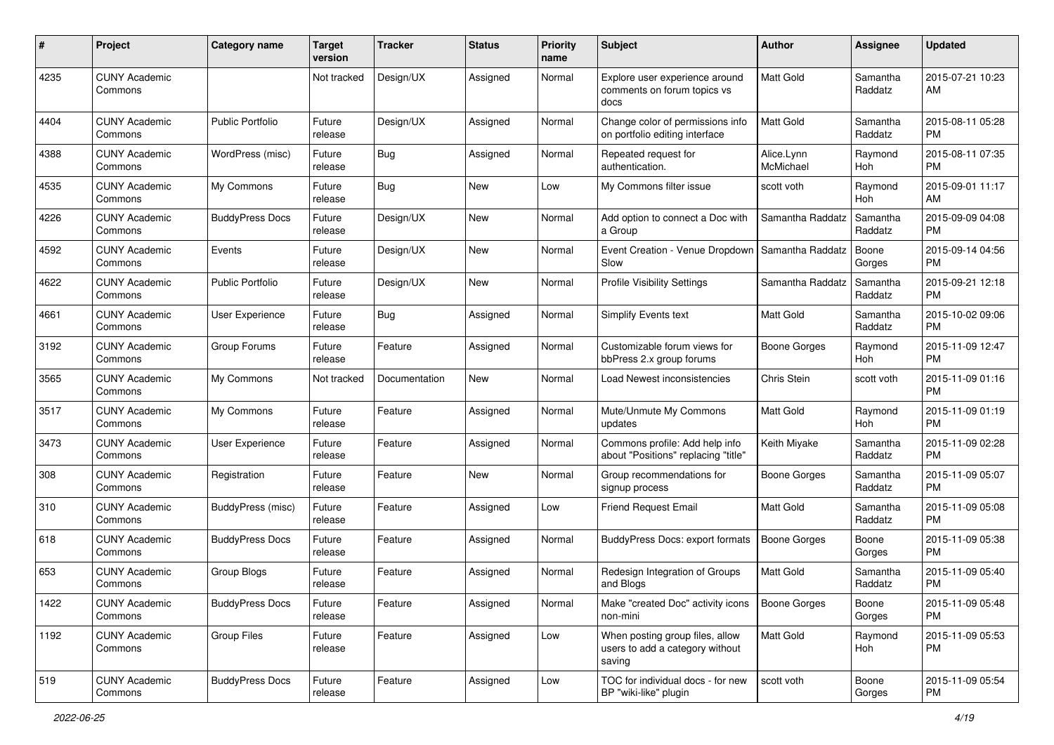| #    | Project                         | <b>Category name</b>    | <b>Target</b><br>version | Tracker       | <b>Status</b> | <b>Priority</b><br>name | <b>Subject</b>                                                               | Author                  | <b>Assignee</b>     | <b>Updated</b>                |
|------|---------------------------------|-------------------------|--------------------------|---------------|---------------|-------------------------|------------------------------------------------------------------------------|-------------------------|---------------------|-------------------------------|
| 4235 | <b>CUNY Academic</b><br>Commons |                         | Not tracked              | Design/UX     | Assigned      | Normal                  | Explore user experience around<br>comments on forum topics vs<br>docs        | <b>Matt Gold</b>        | Samantha<br>Raddatz | 2015-07-21 10:23<br>AM        |
| 4404 | <b>CUNY Academic</b><br>Commons | <b>Public Portfolio</b> | Future<br>release        | Design/UX     | Assigned      | Normal                  | Change color of permissions info<br>on portfolio editing interface           | <b>Matt Gold</b>        | Samantha<br>Raddatz | 2015-08-11 05:28<br><b>PM</b> |
| 4388 | <b>CUNY Academic</b><br>Commons | WordPress (misc)        | Future<br>release        | Bug           | Assigned      | Normal                  | Repeated request for<br>authentication.                                      | Alice.Lynn<br>McMichael | Raymond<br>Hoh      | 2015-08-11 07:35<br><b>PM</b> |
| 4535 | <b>CUNY Academic</b><br>Commons | My Commons              | Future<br>release        | Bug           | New           | Low                     | My Commons filter issue                                                      | scott voth              | Raymond<br>Hoh      | 2015-09-01 11:17<br>AM        |
| 4226 | <b>CUNY Academic</b><br>Commons | <b>BuddyPress Docs</b>  | Future<br>release        | Design/UX     | New           | Normal                  | Add option to connect a Doc with<br>a Group                                  | Samantha Raddatz        | Samantha<br>Raddatz | 2015-09-09 04:08<br><b>PM</b> |
| 4592 | <b>CUNY Academic</b><br>Commons | Events                  | Future<br>release        | Design/UX     | New           | Normal                  | Event Creation - Venue Dropdown<br>Slow                                      | Samantha Raddatz        | Boone<br>Gorges     | 2015-09-14 04:56<br><b>PM</b> |
| 4622 | <b>CUNY Academic</b><br>Commons | <b>Public Portfolio</b> | Future<br>release        | Design/UX     | New           | Normal                  | <b>Profile Visibility Settings</b>                                           | Samantha Raddatz        | Samantha<br>Raddatz | 2015-09-21 12:18<br><b>PM</b> |
| 4661 | <b>CUNY Academic</b><br>Commons | User Experience         | Future<br>release        | Bug           | Assigned      | Normal                  | <b>Simplify Events text</b>                                                  | <b>Matt Gold</b>        | Samantha<br>Raddatz | 2015-10-02 09:06<br><b>PM</b> |
| 3192 | <b>CUNY Academic</b><br>Commons | Group Forums            | Future<br>release        | Feature       | Assigned      | Normal                  | Customizable forum views for<br>bbPress 2.x group forums                     | <b>Boone Gorges</b>     | Raymond<br>Hoh      | 2015-11-09 12:47<br><b>PM</b> |
| 3565 | <b>CUNY Academic</b><br>Commons | My Commons              | Not tracked              | Documentation | <b>New</b>    | Normal                  | Load Newest inconsistencies                                                  | <b>Chris Stein</b>      | scott voth          | 2015-11-09 01:16<br><b>PM</b> |
| 3517 | <b>CUNY Academic</b><br>Commons | My Commons              | Future<br>release        | Feature       | Assigned      | Normal                  | Mute/Unmute My Commons<br>updates                                            | Matt Gold               | Raymond<br>Hoh      | 2015-11-09 01:19<br><b>PM</b> |
| 3473 | <b>CUNY Academic</b><br>Commons | User Experience         | Future<br>release        | Feature       | Assigned      | Normal                  | Commons profile: Add help info<br>about "Positions" replacing "title"        | Keith Miyake            | Samantha<br>Raddatz | 2015-11-09 02:28<br><b>PM</b> |
| 308  | <b>CUNY Academic</b><br>Commons | Registration            | Future<br>release        | Feature       | <b>New</b>    | Normal                  | Group recommendations for<br>signup process                                  | <b>Boone Gorges</b>     | Samantha<br>Raddatz | 2015-11-09 05:07<br><b>PM</b> |
| 310  | <b>CUNY Academic</b><br>Commons | BuddyPress (misc)       | Future<br>release        | Feature       | Assigned      | Low                     | <b>Friend Request Email</b>                                                  | Matt Gold               | Samantha<br>Raddatz | 2015-11-09 05:08<br><b>PM</b> |
| 618  | <b>CUNY Academic</b><br>Commons | <b>BuddyPress Docs</b>  | Future<br>release        | Feature       | Assigned      | Normal                  | <b>BuddyPress Docs: export formats</b>                                       | <b>Boone Gorges</b>     | Boone<br>Gorges     | 2015-11-09 05:38<br><b>PM</b> |
| 653  | <b>CUNY Academic</b><br>Commons | Group Blogs             | Future<br>release        | Feature       | Assigned      | Normal                  | Redesign Integration of Groups<br>and Blogs                                  | <b>Matt Gold</b>        | Samantha<br>Raddatz | 2015-11-09 05:40<br><b>PM</b> |
| 1422 | <b>CUNY Academic</b><br>Commons | <b>BuddyPress Docs</b>  | Future<br>release        | Feature       | Assigned      | Normal                  | Make "created Doc" activity icons<br>non-mini                                | <b>Boone Gorges</b>     | Boone<br>Gorges     | 2015-11-09 05:48<br>PM        |
| 1192 | <b>CUNY Academic</b><br>Commons | Group Files             | Future<br>release        | Feature       | Assigned      | Low                     | When posting group files, allow<br>users to add a category without<br>saving | Matt Gold               | Raymond<br>Hoh      | 2015-11-09 05:53<br>PM        |
| 519  | <b>CUNY Academic</b><br>Commons | <b>BuddyPress Docs</b>  | Future<br>release        | Feature       | Assigned      | Low                     | TOC for individual docs - for new<br>BP "wiki-like" plugin                   | scott voth              | Boone<br>Gorges     | 2015-11-09 05:54<br>PM        |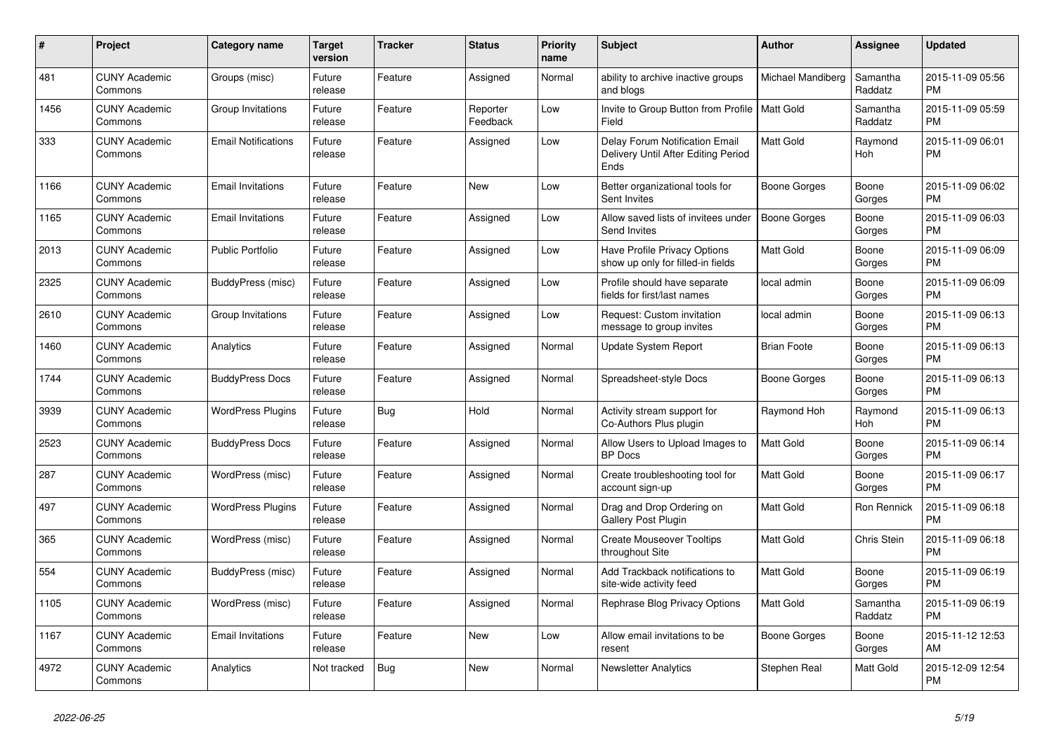| #    | Project                         | Category name              | Target<br>version | <b>Tracker</b> | <b>Status</b>        | <b>Priority</b><br>name | <b>Subject</b>                                                                | <b>Author</b>       | <b>Assignee</b>     | <b>Updated</b>                |
|------|---------------------------------|----------------------------|-------------------|----------------|----------------------|-------------------------|-------------------------------------------------------------------------------|---------------------|---------------------|-------------------------------|
| 481  | <b>CUNY Academic</b><br>Commons | Groups (misc)              | Future<br>release | Feature        | Assigned             | Normal                  | ability to archive inactive groups<br>and blogs                               | Michael Mandiberg   | Samantha<br>Raddatz | 2015-11-09 05:56<br><b>PM</b> |
| 1456 | <b>CUNY Academic</b><br>Commons | Group Invitations          | Future<br>release | Feature        | Reporter<br>Feedback | Low                     | Invite to Group Button from Profile   Matt Gold<br>Field                      |                     | Samantha<br>Raddatz | 2015-11-09 05:59<br><b>PM</b> |
| 333  | <b>CUNY Academic</b><br>Commons | <b>Email Notifications</b> | Future<br>release | Feature        | Assigned             | Low                     | Delay Forum Notification Email<br>Delivery Until After Editing Period<br>Ends | <b>Matt Gold</b>    | Raymond<br>Hoh      | 2015-11-09 06:01<br><b>PM</b> |
| 1166 | <b>CUNY Academic</b><br>Commons | <b>Email Invitations</b>   | Future<br>release | Feature        | <b>New</b>           | Low                     | Better organizational tools for<br>Sent Invites                               | Boone Gorges        | Boone<br>Gorges     | 2015-11-09 06:02<br><b>PM</b> |
| 1165 | <b>CUNY Academic</b><br>Commons | <b>Email Invitations</b>   | Future<br>release | Feature        | Assigned             | Low                     | Allow saved lists of invitees under<br>Send Invites                           | <b>Boone Gorges</b> | Boone<br>Gorges     | 2015-11-09 06:03<br><b>PM</b> |
| 2013 | <b>CUNY Academic</b><br>Commons | <b>Public Portfolio</b>    | Future<br>release | Feature        | Assigned             | Low                     | Have Profile Privacy Options<br>show up only for filled-in fields             | <b>Matt Gold</b>    | Boone<br>Gorges     | 2015-11-09 06:09<br><b>PM</b> |
| 2325 | <b>CUNY Academic</b><br>Commons | BuddyPress (misc)          | Future<br>release | Feature        | Assigned             | Low                     | Profile should have separate<br>fields for first/last names                   | local admin         | Boone<br>Gorges     | 2015-11-09 06:09<br><b>PM</b> |
| 2610 | <b>CUNY Academic</b><br>Commons | Group Invitations          | Future<br>release | Feature        | Assigned             | Low                     | Request: Custom invitation<br>message to group invites                        | local admin         | Boone<br>Gorges     | 2015-11-09 06:13<br><b>PM</b> |
| 1460 | <b>CUNY Academic</b><br>Commons | Analytics                  | Future<br>release | Feature        | Assigned             | Normal                  | <b>Update System Report</b>                                                   | <b>Brian Foote</b>  | Boone<br>Gorges     | 2015-11-09 06:13<br><b>PM</b> |
| 1744 | <b>CUNY Academic</b><br>Commons | <b>BuddyPress Docs</b>     | Future<br>release | Feature        | Assigned             | Normal                  | Spreadsheet-style Docs                                                        | Boone Gorges        | Boone<br>Gorges     | 2015-11-09 06:13<br><b>PM</b> |
| 3939 | <b>CUNY Academic</b><br>Commons | <b>WordPress Plugins</b>   | Future<br>release | Bug            | Hold                 | Normal                  | Activity stream support for<br>Co-Authors Plus plugin                         | Raymond Hoh         | Raymond<br>Hoh      | 2015-11-09 06:13<br><b>PM</b> |
| 2523 | <b>CUNY Academic</b><br>Commons | <b>BuddyPress Docs</b>     | Future<br>release | Feature        | Assigned             | Normal                  | Allow Users to Upload Images to<br><b>BP</b> Docs                             | <b>Matt Gold</b>    | Boone<br>Gorges     | 2015-11-09 06:14<br><b>PM</b> |
| 287  | <b>CUNY Academic</b><br>Commons | WordPress (misc)           | Future<br>release | Feature        | Assigned             | Normal                  | Create troubleshooting tool for<br>account sign-up                            | <b>Matt Gold</b>    | Boone<br>Gorges     | 2015-11-09 06:17<br><b>PM</b> |
| 497  | <b>CUNY Academic</b><br>Commons | <b>WordPress Plugins</b>   | Future<br>release | Feature        | Assigned             | Normal                  | Drag and Drop Ordering on<br><b>Gallery Post Plugin</b>                       | <b>Matt Gold</b>    | Ron Rennick         | 2015-11-09 06:18<br><b>PM</b> |
| 365  | <b>CUNY Academic</b><br>Commons | WordPress (misc)           | Future<br>release | Feature        | Assigned             | Normal                  | <b>Create Mouseover Tooltips</b><br>throughout Site                           | Matt Gold           | Chris Stein         | 2015-11-09 06:18<br><b>PM</b> |
| 554  | <b>CUNY Academic</b><br>Commons | BuddyPress (misc)          | Future<br>release | Feature        | Assigned             | Normal                  | Add Trackback notifications to<br>site-wide activity feed                     | <b>Matt Gold</b>    | Boone<br>Gorges     | 2015-11-09 06:19<br><b>PM</b> |
| 1105 | <b>CUNY Academic</b><br>Commons | WordPress (misc)           | Future<br>release | Feature        | Assigned             | Normal                  | Rephrase Blog Privacy Options                                                 | <b>Matt Gold</b>    | Samantha<br>Raddatz | 2015-11-09 06:19<br><b>PM</b> |
| 1167 | <b>CUNY Academic</b><br>Commons | <b>Email Invitations</b>   | Future<br>release | Feature        | <b>New</b>           | Low                     | Allow email invitations to be<br>resent                                       | Boone Gorges        | Boone<br>Gorges     | 2015-11-12 12:53<br>AM        |
| 4972 | <b>CUNY Academic</b><br>Commons | Analytics                  | Not tracked       | <b>Bug</b>     | <b>New</b>           | Normal                  | <b>Newsletter Analytics</b>                                                   | Stephen Real        | Matt Gold           | 2015-12-09 12:54<br><b>PM</b> |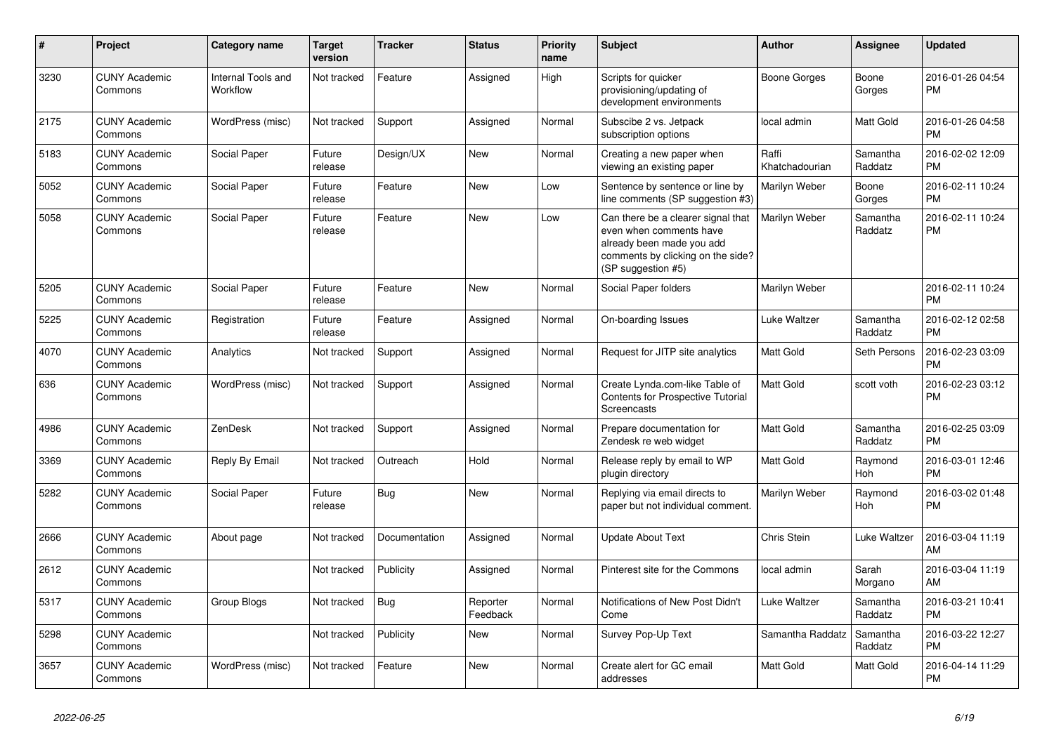| #    | <b>Project</b>                  | <b>Category name</b>           | <b>Target</b><br>version | Tracker       | <b>Status</b>        | <b>Priority</b><br>name | <b>Subject</b>                                                                                                                                        | <b>Author</b>           | Assignee            | <b>Updated</b>                |
|------|---------------------------------|--------------------------------|--------------------------|---------------|----------------------|-------------------------|-------------------------------------------------------------------------------------------------------------------------------------------------------|-------------------------|---------------------|-------------------------------|
| 3230 | <b>CUNY Academic</b><br>Commons | Internal Tools and<br>Workflow | Not tracked              | Feature       | Assigned             | High                    | Scripts for quicker<br>provisioning/updating of<br>development environments                                                                           | Boone Gorges            | Boone<br>Gorges     | 2016-01-26 04:54<br><b>PM</b> |
| 2175 | <b>CUNY Academic</b><br>Commons | WordPress (misc)               | Not tracked              | Support       | Assigned             | Normal                  | Subscibe 2 vs. Jetpack<br>subscription options                                                                                                        | local admin             | Matt Gold           | 2016-01-26 04:58<br><b>PM</b> |
| 5183 | <b>CUNY Academic</b><br>Commons | Social Paper                   | Future<br>release        | Design/UX     | <b>New</b>           | Normal                  | Creating a new paper when<br>viewing an existing paper                                                                                                | Raffi<br>Khatchadourian | Samantha<br>Raddatz | 2016-02-02 12:09<br><b>PM</b> |
| 5052 | <b>CUNY Academic</b><br>Commons | Social Paper                   | Future<br>release        | Feature       | <b>New</b>           | Low                     | Sentence by sentence or line by<br>line comments (SP suggestion #3)                                                                                   | Marilyn Weber           | Boone<br>Gorges     | 2016-02-11 10:24<br><b>PM</b> |
| 5058 | <b>CUNY Academic</b><br>Commons | Social Paper                   | Future<br>release        | Feature       | New                  | Low                     | Can there be a clearer signal that<br>even when comments have<br>already been made you add<br>comments by clicking on the side?<br>(SP suggestion #5) | Marilyn Weber           | Samantha<br>Raddatz | 2016-02-11 10:24<br><b>PM</b> |
| 5205 | <b>CUNY Academic</b><br>Commons | Social Paper                   | Future<br>release        | Feature       | <b>New</b>           | Normal                  | Social Paper folders                                                                                                                                  | Marilyn Weber           |                     | 2016-02-11 10:24<br><b>PM</b> |
| 5225 | <b>CUNY Academic</b><br>Commons | Registration                   | Future<br>release        | Feature       | Assigned             | Normal                  | On-boarding Issues                                                                                                                                    | Luke Waltzer            | Samantha<br>Raddatz | 2016-02-12 02:58<br><b>PM</b> |
| 4070 | <b>CUNY Academic</b><br>Commons | Analytics                      | Not tracked              | Support       | Assigned             | Normal                  | Request for JITP site analytics                                                                                                                       | Matt Gold               | Seth Persons        | 2016-02-23 03:09<br><b>PM</b> |
| 636  | <b>CUNY Academic</b><br>Commons | WordPress (misc)               | Not tracked              | Support       | Assigned             | Normal                  | Create Lynda.com-like Table of<br>Contents for Prospective Tutorial<br><b>Screencasts</b>                                                             | <b>Matt Gold</b>        | scott voth          | 2016-02-23 03:12<br><b>PM</b> |
| 4986 | <b>CUNY Academic</b><br>Commons | ZenDesk                        | Not tracked              | Support       | Assigned             | Normal                  | Prepare documentation for<br>Zendesk re web widget                                                                                                    | Matt Gold               | Samantha<br>Raddatz | 2016-02-25 03:09<br><b>PM</b> |
| 3369 | <b>CUNY Academic</b><br>Commons | Reply By Email                 | Not tracked              | Outreach      | Hold                 | Normal                  | Release reply by email to WP<br>plugin directory                                                                                                      | <b>Matt Gold</b>        | Raymond<br>Hoh      | 2016-03-01 12:46<br><b>PM</b> |
| 5282 | <b>CUNY Academic</b><br>Commons | Social Paper                   | Future<br>release        | Bug           | <b>New</b>           | Normal                  | Replying via email directs to<br>paper but not individual comment.                                                                                    | Marilyn Weber           | Raymond<br>Hoh      | 2016-03-02 01:48<br><b>PM</b> |
| 2666 | <b>CUNY Academic</b><br>Commons | About page                     | Not tracked              | Documentation | Assigned             | Normal                  | <b>Update About Text</b>                                                                                                                              | Chris Stein             | Luke Waltzer        | 2016-03-04 11:19<br>AM        |
| 2612 | <b>CUNY Academic</b><br>Commons |                                | Not tracked              | Publicity     | Assigned             | Normal                  | Pinterest site for the Commons                                                                                                                        | local admin             | Sarah<br>Morgano    | 2016-03-04 11:19<br>AM        |
| 5317 | <b>CUNY Academic</b><br>Commons | Group Blogs                    | Not tracked              | Bug           | Reporter<br>Feedback | Normal                  | Notifications of New Post Didn't<br>Come                                                                                                              | Luke Waltzer            | Samantha<br>Raddatz | 2016-03-21 10:41<br><b>PM</b> |
| 5298 | <b>CUNY Academic</b><br>Commons |                                | Not tracked              | Publicity     | <b>New</b>           | Normal                  | Survey Pop-Up Text                                                                                                                                    | Samantha Raddatz        | Samantha<br>Raddatz | 2016-03-22 12:27<br><b>PM</b> |
| 3657 | <b>CUNY Academic</b><br>Commons | WordPress (misc)               | Not tracked              | Feature       | <b>New</b>           | Normal                  | Create alert for GC email<br>addresses                                                                                                                | Matt Gold               | Matt Gold           | 2016-04-14 11:29<br><b>PM</b> |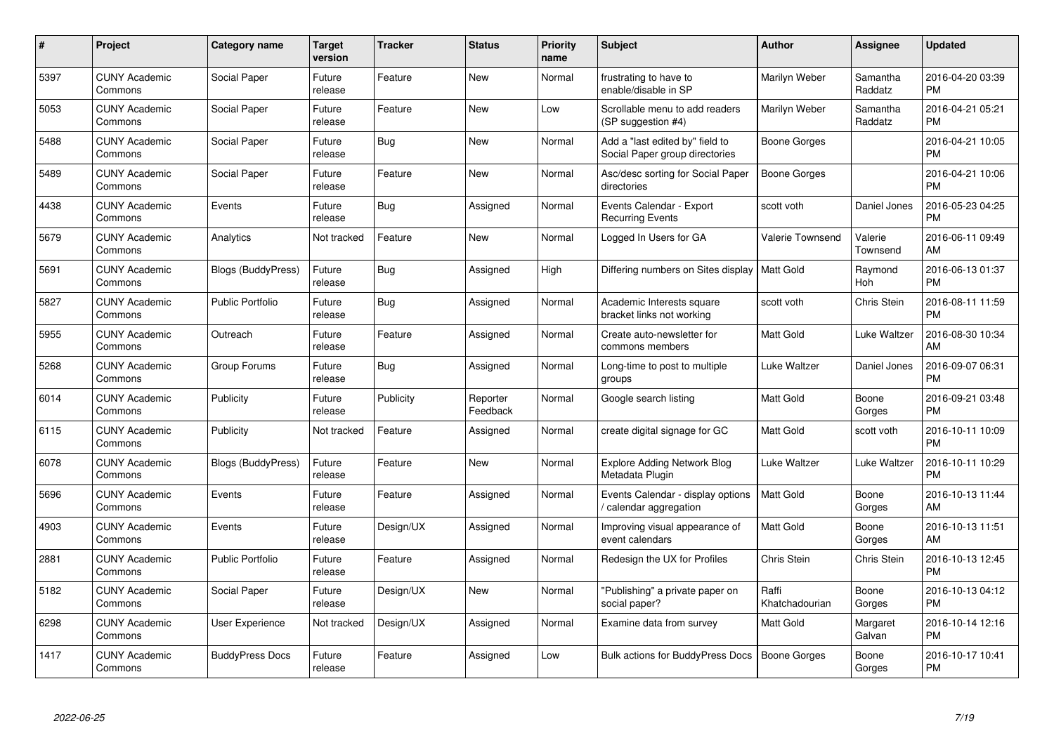| $\#$ | Project                         | Category name             | <b>Target</b><br>version | <b>Tracker</b> | <b>Status</b>        | <b>Priority</b><br>name | <b>Subject</b>                                                    | Author                  | <b>Assignee</b>       | <b>Updated</b>                |
|------|---------------------------------|---------------------------|--------------------------|----------------|----------------------|-------------------------|-------------------------------------------------------------------|-------------------------|-----------------------|-------------------------------|
| 5397 | <b>CUNY Academic</b><br>Commons | Social Paper              | Future<br>release        | Feature        | <b>New</b>           | Normal                  | frustrating to have to<br>enable/disable in SP                    | Marilyn Weber           | Samantha<br>Raddatz   | 2016-04-20 03:39<br><b>PM</b> |
| 5053 | <b>CUNY Academic</b><br>Commons | Social Paper              | Future<br>release        | Feature        | New                  | Low                     | Scrollable menu to add readers<br>(SP suggestion #4)              | Marilyn Weber           | Samantha<br>Raddatz   | 2016-04-21 05:21<br><b>PM</b> |
| 5488 | <b>CUNY Academic</b><br>Commons | Social Paper              | Future<br>release        | <b>Bug</b>     | <b>New</b>           | Normal                  | Add a "last edited by" field to<br>Social Paper group directories | Boone Gorges            |                       | 2016-04-21 10:05<br><b>PM</b> |
| 5489 | <b>CUNY Academic</b><br>Commons | Social Paper              | Future<br>release        | Feature        | <b>New</b>           | Normal                  | Asc/desc sorting for Social Paper<br>directories                  | <b>Boone Gorges</b>     |                       | 2016-04-21 10:06<br><b>PM</b> |
| 4438 | <b>CUNY Academic</b><br>Commons | Events                    | Future<br>release        | <b>Bug</b>     | Assigned             | Normal                  | Events Calendar - Export<br><b>Recurring Events</b>               | scott voth              | Daniel Jones          | 2016-05-23 04:25<br><b>PM</b> |
| 5679 | <b>CUNY Academic</b><br>Commons | Analytics                 | Not tracked              | Feature        | <b>New</b>           | Normal                  | Logged In Users for GA                                            | Valerie Townsend        | Valerie<br>Townsend   | 2016-06-11 09:49<br>AM        |
| 5691 | <b>CUNY Academic</b><br>Commons | <b>Blogs (BuddyPress)</b> | Future<br>release        | <b>Bug</b>     | Assigned             | High                    | Differing numbers on Sites display                                | <b>Matt Gold</b>        | Raymond<br><b>Hoh</b> | 2016-06-13 01:37<br><b>PM</b> |
| 5827 | <b>CUNY Academic</b><br>Commons | <b>Public Portfolio</b>   | Future<br>release        | <b>Bug</b>     | Assigned             | Normal                  | Academic Interests square<br>bracket links not working            | scott voth              | Chris Stein           | 2016-08-11 11:59<br><b>PM</b> |
| 5955 | <b>CUNY Academic</b><br>Commons | Outreach                  | Future<br>release        | Feature        | Assigned             | Normal                  | Create auto-newsletter for<br>commons members                     | <b>Matt Gold</b>        | Luke Waltzer          | 2016-08-30 10:34<br>AM        |
| 5268 | <b>CUNY Academic</b><br>Commons | Group Forums              | Future<br>release        | Bug            | Assigned             | Normal                  | Long-time to post to multiple<br>groups                           | Luke Waltzer            | Daniel Jones          | 2016-09-07 06:31<br><b>PM</b> |
| 6014 | <b>CUNY Academic</b><br>Commons | Publicity                 | Future<br>release        | Publicity      | Reporter<br>Feedback | Normal                  | Google search listing                                             | Matt Gold               | Boone<br>Gorges       | 2016-09-21 03:48<br><b>PM</b> |
| 6115 | <b>CUNY Academic</b><br>Commons | Publicity                 | Not tracked              | Feature        | Assigned             | Normal                  | create digital signage for GC                                     | <b>Matt Gold</b>        | scott voth            | 2016-10-11 10:09<br><b>PM</b> |
| 6078 | <b>CUNY Academic</b><br>Commons | <b>Blogs (BuddyPress)</b> | Future<br>release        | Feature        | <b>New</b>           | Normal                  | <b>Explore Adding Network Blog</b><br>Metadata Plugin             | Luke Waltzer            | Luke Waltzer          | 2016-10-11 10:29<br><b>PM</b> |
| 5696 | <b>CUNY Academic</b><br>Commons | Events                    | Future<br>release        | Feature        | Assigned             | Normal                  | Events Calendar - display options<br>calendar aggregation         | <b>Matt Gold</b>        | Boone<br>Gorges       | 2016-10-13 11:44<br>AM        |
| 4903 | <b>CUNY Academic</b><br>Commons | Events                    | Future<br>release        | Design/UX      | Assigned             | Normal                  | Improving visual appearance of<br>event calendars                 | Matt Gold               | Boone<br>Gorges       | 2016-10-13 11:51<br>AM        |
| 2881 | <b>CUNY Academic</b><br>Commons | <b>Public Portfolio</b>   | Future<br>release        | Feature        | Assigned             | Normal                  | Redesign the UX for Profiles                                      | <b>Chris Stein</b>      | Chris Stein           | 2016-10-13 12:45<br><b>PM</b> |
| 5182 | <b>CUNY Academic</b><br>Commons | Social Paper              | Future<br>release        | Design/UX      | New                  | Normal                  | 'Publishing" a private paper on<br>social paper?                  | Raffi<br>Khatchadourian | Boone<br>Gorges       | 2016-10-13 04:12<br><b>PM</b> |
| 6298 | <b>CUNY Academic</b><br>Commons | User Experience           | Not tracked              | Design/UX      | Assigned             | Normal                  | Examine data from survey                                          | <b>Matt Gold</b>        | Margaret<br>Galvan    | 2016-10-14 12:16<br><b>PM</b> |
| 1417 | <b>CUNY Academic</b><br>Commons | <b>BuddyPress Docs</b>    | Future<br>release        | Feature        | Assigned             | Low                     | Bulk actions for BuddyPress Docs                                  | <b>Boone Gorges</b>     | Boone<br>Gorges       | 2016-10-17 10:41<br>PM        |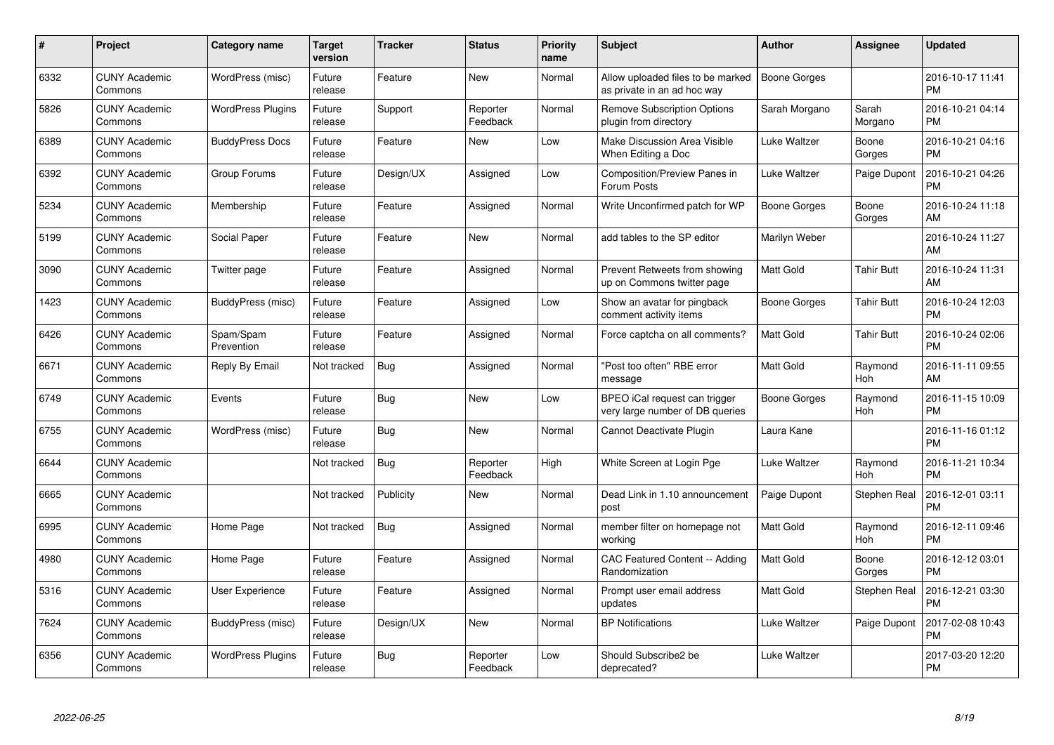| $\pmb{\#}$ | Project                         | <b>Category name</b>     | <b>Target</b><br>version | <b>Tracker</b> | <b>Status</b>        | <b>Priority</b><br>name | <b>Subject</b>                                                   | Author              | <b>Assignee</b>     | <b>Updated</b>                |
|------------|---------------------------------|--------------------------|--------------------------|----------------|----------------------|-------------------------|------------------------------------------------------------------|---------------------|---------------------|-------------------------------|
| 6332       | <b>CUNY Academic</b><br>Commons | WordPress (misc)         | Future<br>release        | Feature        | <b>New</b>           | Normal                  | Allow uploaded files to be marked<br>as private in an ad hoc way | <b>Boone Gorges</b> |                     | 2016-10-17 11:41<br><b>PM</b> |
| 5826       | <b>CUNY Academic</b><br>Commons | <b>WordPress Plugins</b> | Future<br>release        | Support        | Reporter<br>Feedback | Normal                  | <b>Remove Subscription Options</b><br>plugin from directory      | Sarah Morgano       | Sarah<br>Morgano    | 2016-10-21 04:14<br><b>PM</b> |
| 6389       | <b>CUNY Academic</b><br>Commons | <b>BuddyPress Docs</b>   | Future<br>release        | Feature        | <b>New</b>           | Low                     | Make Discussion Area Visible<br>When Editing a Doc               | Luke Waltzer        | Boone<br>Gorges     | 2016-10-21 04:16<br><b>PM</b> |
| 6392       | <b>CUNY Academic</b><br>Commons | Group Forums             | Future<br>release        | Design/UX      | Assigned             | Low                     | Composition/Preview Panes in<br>Forum Posts                      | Luke Waltzer        | Paige Dupont        | 2016-10-21 04:26<br><b>PM</b> |
| 5234       | <b>CUNY Academic</b><br>Commons | Membership               | Future<br>release        | Feature        | Assigned             | Normal                  | Write Unconfirmed patch for WP                                   | <b>Boone Gorges</b> | Boone<br>Gorges     | 2016-10-24 11:18<br>AM        |
| 5199       | <b>CUNY Academic</b><br>Commons | Social Paper             | Future<br>release        | Feature        | <b>New</b>           | Normal                  | add tables to the SP editor                                      | Marilyn Weber       |                     | 2016-10-24 11:27<br>AM        |
| 3090       | <b>CUNY Academic</b><br>Commons | Twitter page             | Future<br>release        | Feature        | Assigned             | Normal                  | Prevent Retweets from showing<br>up on Commons twitter page      | Matt Gold           | <b>Tahir Butt</b>   | 2016-10-24 11:31<br>AM        |
| 1423       | <b>CUNY Academic</b><br>Commons | BuddyPress (misc)        | Future<br>release        | Feature        | Assigned             | Low                     | Show an avatar for pingback<br>comment activity items            | Boone Gorges        | <b>Tahir Butt</b>   | 2016-10-24 12:03<br><b>PM</b> |
| 6426       | <b>CUNY Academic</b><br>Commons | Spam/Spam<br>Prevention  | Future<br>release        | Feature        | Assigned             | Normal                  | Force captcha on all comments?                                   | <b>Matt Gold</b>    | <b>Tahir Butt</b>   | 2016-10-24 02:06<br><b>PM</b> |
| 6671       | <b>CUNY Academic</b><br>Commons | Reply By Email           | Not tracked              | Bug            | Assigned             | Normal                  | "Post too often" RBE error<br>message                            | <b>Matt Gold</b>    | Raymond<br>Hoh      | 2016-11-11 09:55<br>AM        |
| 6749       | <b>CUNY Academic</b><br>Commons | Events                   | Future<br>release        | Bug            | <b>New</b>           | Low                     | BPEO iCal request can trigger<br>very large number of DB queries | Boone Gorges        | Raymond<br>Hoh      | 2016-11-15 10:09<br><b>PM</b> |
| 6755       | <b>CUNY Academic</b><br>Commons | WordPress (misc)         | Future<br>release        | Bug            | <b>New</b>           | Normal                  | Cannot Deactivate Plugin                                         | Laura Kane          |                     | 2016-11-16 01:12<br><b>PM</b> |
| 6644       | <b>CUNY Academic</b><br>Commons |                          | Not tracked              | Bug            | Reporter<br>Feedback | High                    | White Screen at Login Pge                                        | Luke Waltzer        | Raymond<br>Hoh      | 2016-11-21 10:34<br><b>PM</b> |
| 6665       | <b>CUNY Academic</b><br>Commons |                          | Not tracked              | Publicity      | <b>New</b>           | Normal                  | Dead Link in 1.10 announcement<br>post                           | Paige Dupont        | <b>Stephen Real</b> | 2016-12-01 03:11<br><b>PM</b> |
| 6995       | <b>CUNY Academic</b><br>Commons | Home Page                | Not tracked              | <b>Bug</b>     | Assigned             | Normal                  | member filter on homepage not<br>working                         | Matt Gold           | Raymond<br>Hoh      | 2016-12-11 09:46<br><b>PM</b> |
| 4980       | <b>CUNY Academic</b><br>Commons | Home Page                | Future<br>release        | Feature        | Assigned             | Normal                  | CAC Featured Content -- Adding<br>Randomization                  | Matt Gold           | Boone<br>Gorges     | 2016-12-12 03:01<br><b>PM</b> |
| 5316       | <b>CUNY Academic</b><br>Commons | <b>User Experience</b>   | Future<br>release        | Feature        | Assigned             | Normal                  | Prompt user email address<br>updates                             | <b>Matt Gold</b>    | Stephen Real        | 2016-12-21 03:30<br><b>PM</b> |
| 7624       | <b>CUNY Academic</b><br>Commons | BuddyPress (misc)        | Future<br>release        | Design/UX      | New                  | Normal                  | <b>BP Notifications</b>                                          | Luke Waltzer        | Paige Dupont        | 2017-02-08 10:43<br><b>PM</b> |
| 6356       | <b>CUNY Academic</b><br>Commons | <b>WordPress Plugins</b> | Future<br>release        | <b>Bug</b>     | Reporter<br>Feedback | Low                     | Should Subscribe2 be<br>deprecated?                              | Luke Waltzer        |                     | 2017-03-20 12:20<br>PM        |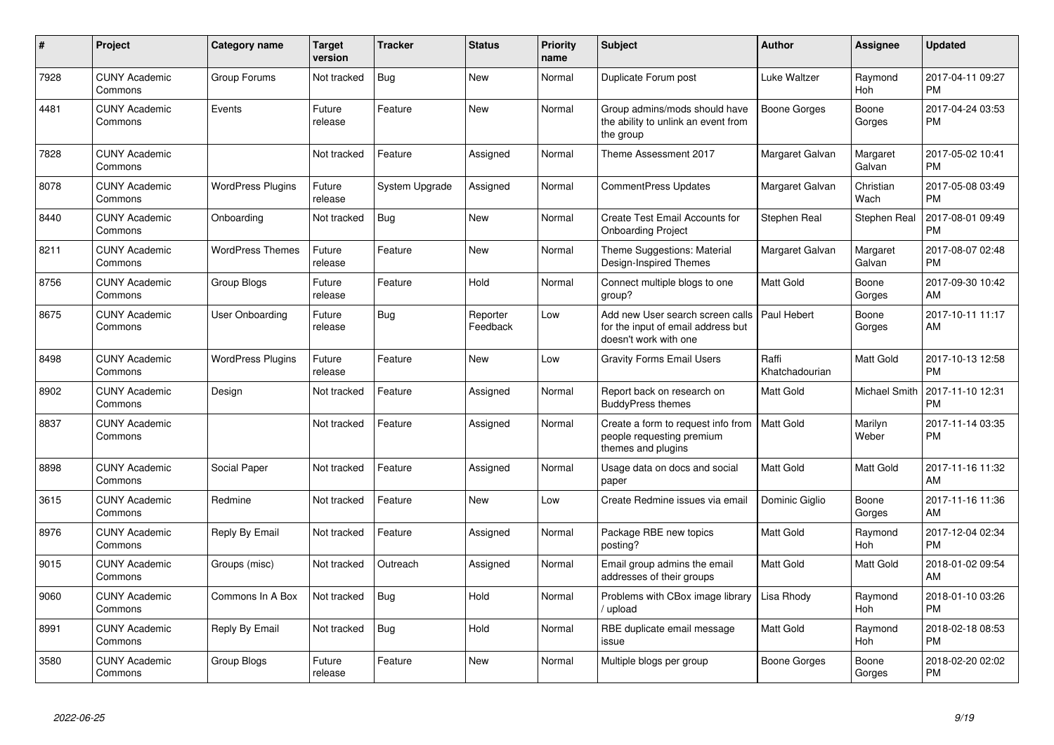| $\#$ | <b>Project</b>                  | <b>Category name</b>     | <b>Target</b><br>version | <b>Tracker</b> | <b>Status</b>        | <b>Priority</b><br>name | <b>Subject</b>                                                                                  | <b>Author</b>           | <b>Assignee</b>       | <b>Updated</b>                |
|------|---------------------------------|--------------------------|--------------------------|----------------|----------------------|-------------------------|-------------------------------------------------------------------------------------------------|-------------------------|-----------------------|-------------------------------|
| 7928 | <b>CUNY Academic</b><br>Commons | Group Forums             | Not tracked              | Bug            | <b>New</b>           | Normal                  | Duplicate Forum post                                                                            | <b>Luke Waltzer</b>     | Raymond<br>Hoh        | 2017-04-11 09:27<br><b>PM</b> |
| 4481 | <b>CUNY Academic</b><br>Commons | Events                   | Future<br>release        | Feature        | <b>New</b>           | Normal                  | Group admins/mods should have<br>the ability to unlink an event from<br>the group               | <b>Boone Gorges</b>     | Boone<br>Gorges       | 2017-04-24 03:53<br><b>PM</b> |
| 7828 | <b>CUNY Academic</b><br>Commons |                          | Not tracked              | Feature        | Assigned             | Normal                  | Theme Assessment 2017                                                                           | Margaret Galvan         | Margaret<br>Galvan    | 2017-05-02 10:41<br><b>PM</b> |
| 8078 | <b>CUNY Academic</b><br>Commons | <b>WordPress Plugins</b> | Future<br>release        | System Upgrade | Assigned             | Normal                  | <b>CommentPress Updates</b>                                                                     | Margaret Galvan         | Christian<br>Wach     | 2017-05-08 03:49<br><b>PM</b> |
| 8440 | <b>CUNY Academic</b><br>Commons | Onboarding               | Not tracked              | Bug            | New                  | Normal                  | <b>Create Test Email Accounts for</b><br><b>Onboarding Project</b>                              | Stephen Real            | Stephen Real          | 2017-08-01 09:49<br><b>PM</b> |
| 8211 | <b>CUNY Academic</b><br>Commons | <b>WordPress Themes</b>  | Future<br>release        | Feature        | <b>New</b>           | Normal                  | Theme Suggestions: Material<br>Design-Inspired Themes                                           | Margaret Galvan         | Margaret<br>Galvan    | 2017-08-07 02:48<br><b>PM</b> |
| 8756 | <b>CUNY Academic</b><br>Commons | <b>Group Blogs</b>       | Future<br>release        | Feature        | Hold                 | Normal                  | Connect multiple blogs to one<br>group?                                                         | Matt Gold               | Boone<br>Gorges       | 2017-09-30 10:42<br>AM        |
| 8675 | <b>CUNY Academic</b><br>Commons | User Onboarding          | Future<br>release        | Bug            | Reporter<br>Feedback | Low                     | Add new User search screen calls<br>for the input of email address but<br>doesn't work with one | Paul Hebert             | Boone<br>Gorges       | 2017-10-11 11:17<br>AM        |
| 8498 | <b>CUNY Academic</b><br>Commons | <b>WordPress Plugins</b> | Future<br>release        | Feature        | New                  | Low                     | <b>Gravity Forms Email Users</b>                                                                | Raffi<br>Khatchadourian | Matt Gold             | 2017-10-13 12:58<br><b>PM</b> |
| 8902 | <b>CUNY Academic</b><br>Commons | Design                   | Not tracked              | Feature        | Assigned             | Normal                  | Report back on research on<br><b>BuddyPress themes</b>                                          | Matt Gold               | Michael Smith         | 2017-11-10 12:31<br><b>PM</b> |
| 8837 | <b>CUNY Academic</b><br>Commons |                          | Not tracked              | Feature        | Assigned             | Normal                  | Create a form to request info from<br>people requesting premium<br>themes and plugins           | <b>Matt Gold</b>        | Marilyn<br>Weber      | 2017-11-14 03:35<br><b>PM</b> |
| 8898 | <b>CUNY Academic</b><br>Commons | Social Paper             | Not tracked              | Feature        | Assigned             | Normal                  | Usage data on docs and social<br>paper                                                          | Matt Gold               | Matt Gold             | 2017-11-16 11:32<br>AM        |
| 3615 | <b>CUNY Academic</b><br>Commons | Redmine                  | Not tracked              | Feature        | New                  | Low                     | Create Redmine issues via email                                                                 | Dominic Giglio          | Boone<br>Gorges       | 2017-11-16 11:36<br>AM        |
| 8976 | <b>CUNY Academic</b><br>Commons | Reply By Email           | Not tracked              | Feature        | Assigned             | Normal                  | Package RBE new topics<br>posting?                                                              | Matt Gold               | Raymond<br>Hoh        | 2017-12-04 02:34<br><b>PM</b> |
| 9015 | <b>CUNY Academic</b><br>Commons | Groups (misc)            | Not tracked              | Outreach       | Assigned             | Normal                  | Email group admins the email<br>addresses of their groups                                       | Matt Gold               | Matt Gold             | 2018-01-02 09:54<br>AM        |
| 9060 | <b>CUNY Academic</b><br>Commons | Commons In A Box         | Not tracked              | <b>Bug</b>     | Hold                 | Normal                  | Problems with CBox image library<br>upload                                                      | Lisa Rhody              | Raymond<br><b>Hoh</b> | 2018-01-10 03:26<br><b>PM</b> |
| 8991 | <b>CUNY Academic</b><br>Commons | Reply By Email           | Not tracked              | <b>Bug</b>     | Hold                 | Normal                  | RBE duplicate email message<br>issue                                                            | Matt Gold               | Raymond<br>Hoh        | 2018-02-18 08:53<br><b>PM</b> |
| 3580 | <b>CUNY Academic</b><br>Commons | Group Blogs              | Future<br>release        | Feature        | <b>New</b>           | Normal                  | Multiple blogs per group                                                                        | <b>Boone Gorges</b>     | Boone<br>Gorges       | 2018-02-20 02:02<br><b>PM</b> |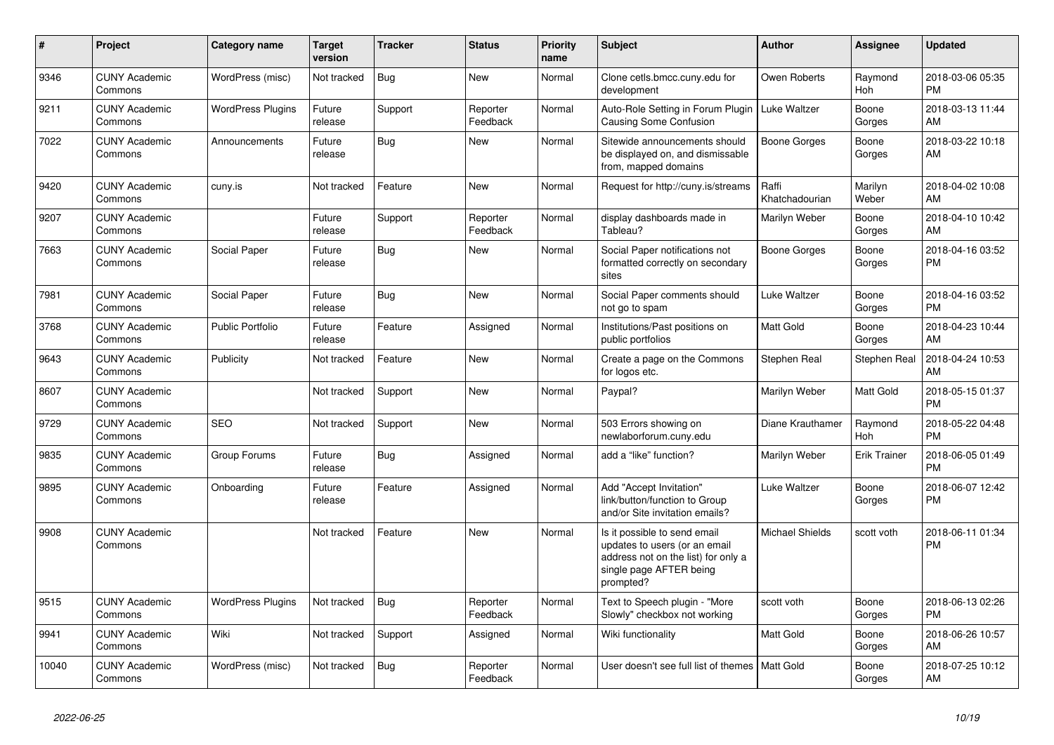| #     | Project                         | <b>Category name</b>     | <b>Target</b><br>version | <b>Tracker</b> | <b>Status</b>        | <b>Priority</b><br>name | <b>Subject</b>                                                                                                                               | <b>Author</b>           | Assignee              | <b>Updated</b>                |
|-------|---------------------------------|--------------------------|--------------------------|----------------|----------------------|-------------------------|----------------------------------------------------------------------------------------------------------------------------------------------|-------------------------|-----------------------|-------------------------------|
| 9346  | <b>CUNY Academic</b><br>Commons | WordPress (misc)         | Not tracked              | <b>Bug</b>     | <b>New</b>           | Normal                  | Clone cetls.bmcc.cuny.edu for<br>development                                                                                                 | Owen Roberts            | Raymond<br><b>Hoh</b> | 2018-03-06 05:35<br><b>PM</b> |
| 9211  | <b>CUNY Academic</b><br>Commons | <b>WordPress Plugins</b> | Future<br>release        | Support        | Reporter<br>Feedback | Normal                  | Auto-Role Setting in Forum Plugin<br>Causing Some Confusion                                                                                  | Luke Waltzer            | Boone<br>Gorges       | 2018-03-13 11:44<br>AM        |
| 7022  | <b>CUNY Academic</b><br>Commons | Announcements            | Future<br>release        | Bug            | <b>New</b>           | Normal                  | Sitewide announcements should<br>be displayed on, and dismissable<br>from, mapped domains                                                    | Boone Gorges            | Boone<br>Gorges       | 2018-03-22 10:18<br>AM        |
| 9420  | <b>CUNY Academic</b><br>Commons | cuny.is                  | Not tracked              | Feature        | <b>New</b>           | Normal                  | Request for http://cuny.is/streams                                                                                                           | Raffi<br>Khatchadourian | Marilyn<br>Weber      | 2018-04-02 10:08<br>AM        |
| 9207  | <b>CUNY Academic</b><br>Commons |                          | Future<br>release        | Support        | Reporter<br>Feedback | Normal                  | display dashboards made in<br>Tableau?                                                                                                       | Marilyn Weber           | Boone<br>Gorges       | 2018-04-10 10:42<br>AM        |
| 7663  | <b>CUNY Academic</b><br>Commons | Social Paper             | Future<br>release        | <b>Bug</b>     | <b>New</b>           | Normal                  | Social Paper notifications not<br>formatted correctly on secondary<br>sites                                                                  | Boone Gorges            | Boone<br>Gorges       | 2018-04-16 03:52<br><b>PM</b> |
| 7981  | <b>CUNY Academic</b><br>Commons | Social Paper             | Future<br>release        | <b>Bug</b>     | <b>New</b>           | Normal                  | Social Paper comments should<br>not go to spam                                                                                               | Luke Waltzer            | Boone<br>Gorges       | 2018-04-16 03:52<br><b>PM</b> |
| 3768  | <b>CUNY Academic</b><br>Commons | <b>Public Portfolio</b>  | Future<br>release        | Feature        | Assigned             | Normal                  | Institutions/Past positions on<br>public portfolios                                                                                          | Matt Gold               | Boone<br>Gorges       | 2018-04-23 10:44<br>AM        |
| 9643  | <b>CUNY Academic</b><br>Commons | Publicity                | Not tracked              | Feature        | <b>New</b>           | Normal                  | Create a page on the Commons<br>for logos etc.                                                                                               | Stephen Real            | Stephen Real          | 2018-04-24 10:53<br>AM        |
| 8607  | <b>CUNY Academic</b><br>Commons |                          | Not tracked              | Support        | <b>New</b>           | Normal                  | Paypal?                                                                                                                                      | Marilyn Weber           | Matt Gold             | 2018-05-15 01:37<br><b>PM</b> |
| 9729  | <b>CUNY Academic</b><br>Commons | <b>SEO</b>               | Not tracked              | Support        | <b>New</b>           | Normal                  | 503 Errors showing on<br>newlaborforum.cuny.edu                                                                                              | Diane Krauthamer        | Raymond<br>Hoh        | 2018-05-22 04:48<br><b>PM</b> |
| 9835  | <b>CUNY Academic</b><br>Commons | Group Forums             | Future<br>release        | <b>Bug</b>     | Assigned             | Normal                  | add a "like" function?                                                                                                                       | Marilyn Weber           | <b>Erik Trainer</b>   | 2018-06-05 01:49<br><b>PM</b> |
| 9895  | <b>CUNY Academic</b><br>Commons | Onboarding               | Future<br>release        | Feature        | Assigned             | Normal                  | Add "Accept Invitation"<br>link/button/function to Group<br>and/or Site invitation emails?                                                   | Luke Waltzer            | Boone<br>Gorges       | 2018-06-07 12:42<br><b>PM</b> |
| 9908  | <b>CUNY Academic</b><br>Commons |                          | Not tracked              | Feature        | <b>New</b>           | Normal                  | Is it possible to send email<br>updates to users (or an email<br>address not on the list) for only a<br>single page AFTER being<br>prompted? | <b>Michael Shields</b>  | scott voth            | 2018-06-11 01:34<br><b>PM</b> |
| 9515  | <b>CUNY Academic</b><br>Commons | <b>WordPress Plugins</b> | Not tracked              | Bug            | Reporter<br>Feedback | Normal                  | Text to Speech plugin - "More<br>Slowly" checkbox not working                                                                                | scott voth              | Boone<br>Gorges       | 2018-06-13 02:26<br><b>PM</b> |
| 9941  | <b>CUNY Academic</b><br>Commons | Wiki                     | Not tracked              | Support        | Assigned             | Normal                  | Wiki functionality                                                                                                                           | <b>Matt Gold</b>        | Boone<br>Gorges       | 2018-06-26 10:57<br>AM        |
| 10040 | <b>CUNY Academic</b><br>Commons | WordPress (misc)         | Not tracked              | Bug            | Reporter<br>Feedback | Normal                  | User doesn't see full list of themes                                                                                                         | <b>Matt Gold</b>        | Boone<br>Gorges       | 2018-07-25 10:12<br>AM        |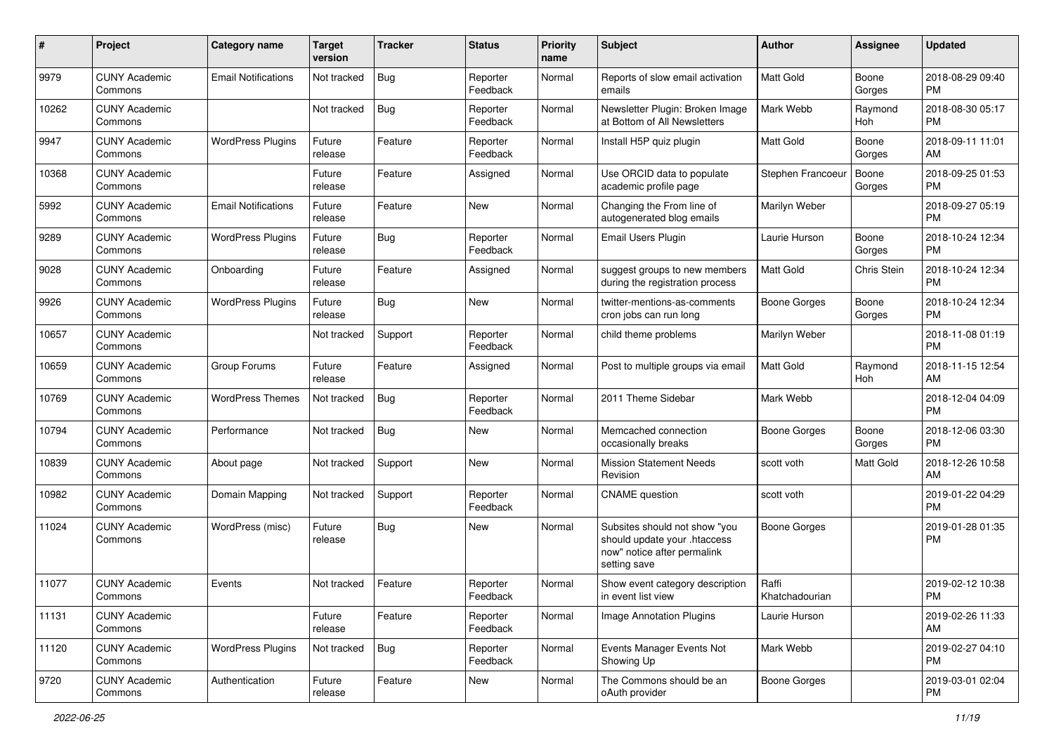| #     | Project                         | <b>Category name</b>       | <b>Target</b><br>version | <b>Tracker</b> | <b>Status</b>        | <b>Priority</b><br>name | Subject                                                                                                      | Author                  | <b>Assignee</b> | <b>Updated</b>                |
|-------|---------------------------------|----------------------------|--------------------------|----------------|----------------------|-------------------------|--------------------------------------------------------------------------------------------------------------|-------------------------|-----------------|-------------------------------|
| 9979  | <b>CUNY Academic</b><br>Commons | <b>Email Notifications</b> | Not tracked              | <b>Bug</b>     | Reporter<br>Feedback | Normal                  | Reports of slow email activation<br>emails                                                                   | <b>Matt Gold</b>        | Boone<br>Gorges | 2018-08-29 09:40<br>PM        |
| 10262 | <b>CUNY Academic</b><br>Commons |                            | Not tracked              | <b>Bug</b>     | Reporter<br>Feedback | Normal                  | Newsletter Plugin: Broken Image<br>at Bottom of All Newsletters                                              | Mark Webb               | Raymond<br>Hoh  | 2018-08-30 05:17<br><b>PM</b> |
| 9947  | <b>CUNY Academic</b><br>Commons | <b>WordPress Plugins</b>   | Future<br>release        | Feature        | Reporter<br>Feedback | Normal                  | Install H5P quiz plugin                                                                                      | Matt Gold               | Boone<br>Gorges | 2018-09-11 11:01<br>AM        |
| 10368 | <b>CUNY Academic</b><br>Commons |                            | Future<br>release        | Feature        | Assigned             | Normal                  | Use ORCID data to populate<br>academic profile page                                                          | Stephen Francoeu        | Boone<br>Gorges | 2018-09-25 01:53<br><b>PM</b> |
| 5992  | <b>CUNY Academic</b><br>Commons | <b>Email Notifications</b> | Future<br>release        | Feature        | New                  | Normal                  | Changing the From line of<br>autogenerated blog emails                                                       | Marilyn Weber           |                 | 2018-09-27 05:19<br><b>PM</b> |
| 9289  | <b>CUNY Academic</b><br>Commons | <b>WordPress Plugins</b>   | Future<br>release        | Bug            | Reporter<br>Feedback | Normal                  | Email Users Plugin                                                                                           | Laurie Hurson           | Boone<br>Gorges | 2018-10-24 12:34<br><b>PM</b> |
| 9028  | <b>CUNY Academic</b><br>Commons | Onboarding                 | Future<br>release        | Feature        | Assigned             | Normal                  | suggest groups to new members<br>during the registration process                                             | Matt Gold               | Chris Stein     | 2018-10-24 12:34<br><b>PM</b> |
| 9926  | <b>CUNY Academic</b><br>Commons | <b>WordPress Plugins</b>   | Future<br>release        | Bug            | New                  | Normal                  | twitter-mentions-as-comments<br>cron jobs can run long                                                       | <b>Boone Gorges</b>     | Boone<br>Gorges | 2018-10-24 12:34<br>PM        |
| 10657 | <b>CUNY Academic</b><br>Commons |                            | Not tracked              | Support        | Reporter<br>Feedback | Normal                  | child theme problems                                                                                         | Marilyn Weber           |                 | 2018-11-08 01:19<br><b>PM</b> |
| 10659 | <b>CUNY Academic</b><br>Commons | Group Forums               | Future<br>release        | Feature        | Assigned             | Normal                  | Post to multiple groups via email                                                                            | Matt Gold               | Raymond<br>Hoh  | 2018-11-15 12:54<br>AM        |
| 10769 | <b>CUNY Academic</b><br>Commons | <b>WordPress Themes</b>    | Not tracked              | Bug            | Reporter<br>Feedback | Normal                  | 2011 Theme Sidebar                                                                                           | Mark Webb               |                 | 2018-12-04 04:09<br><b>PM</b> |
| 10794 | <b>CUNY Academic</b><br>Commons | Performance                | Not tracked              | <b>Bug</b>     | New                  | Normal                  | Memcached connection<br>occasionally breaks                                                                  | Boone Gorges            | Boone<br>Gorges | 2018-12-06 03:30<br><b>PM</b> |
| 10839 | <b>CUNY Academic</b><br>Commons | About page                 | Not tracked              | Support        | <b>New</b>           | Normal                  | <b>Mission Statement Needs</b><br>Revision                                                                   | scott voth              | Matt Gold       | 2018-12-26 10:58<br>AM        |
| 10982 | <b>CUNY Academic</b><br>Commons | Domain Mapping             | Not tracked              | Support        | Reporter<br>Feedback | Normal                  | <b>CNAME</b> question                                                                                        | scott voth              |                 | 2019-01-22 04:29<br>PM        |
| 11024 | <b>CUNY Academic</b><br>Commons | WordPress (misc)           | Future<br>release        | Bug            | New                  | Normal                  | Subsites should not show "you<br>should update your .htaccess<br>now" notice after permalink<br>setting save | <b>Boone Gorges</b>     |                 | 2019-01-28 01:35<br><b>PM</b> |
| 11077 | <b>CUNY Academic</b><br>Commons | Events                     | Not tracked              | Feature        | Reporter<br>Feedback | Normal                  | Show event category description<br>in event list view                                                        | Raffi<br>Khatchadourian |                 | 2019-02-12 10:38<br>PM        |
| 11131 | <b>CUNY Academic</b><br>Commons |                            | Future<br>release        | Feature        | Reporter<br>Feedback | Normal                  | Image Annotation Plugins                                                                                     | Laurie Hurson           |                 | 2019-02-26 11:33<br>AM        |
| 11120 | <b>CUNY Academic</b><br>Commons | <b>WordPress Plugins</b>   | Not tracked              | Bug            | Reporter<br>Feedback | Normal                  | Events Manager Events Not<br>Showing Up                                                                      | Mark Webb               |                 | 2019-02-27 04:10<br><b>PM</b> |
| 9720  | <b>CUNY Academic</b><br>Commons | Authentication             | Future<br>release        | Feature        | New                  | Normal                  | The Commons should be an<br>oAuth provider                                                                   | <b>Boone Gorges</b>     |                 | 2019-03-01 02:04<br>PM        |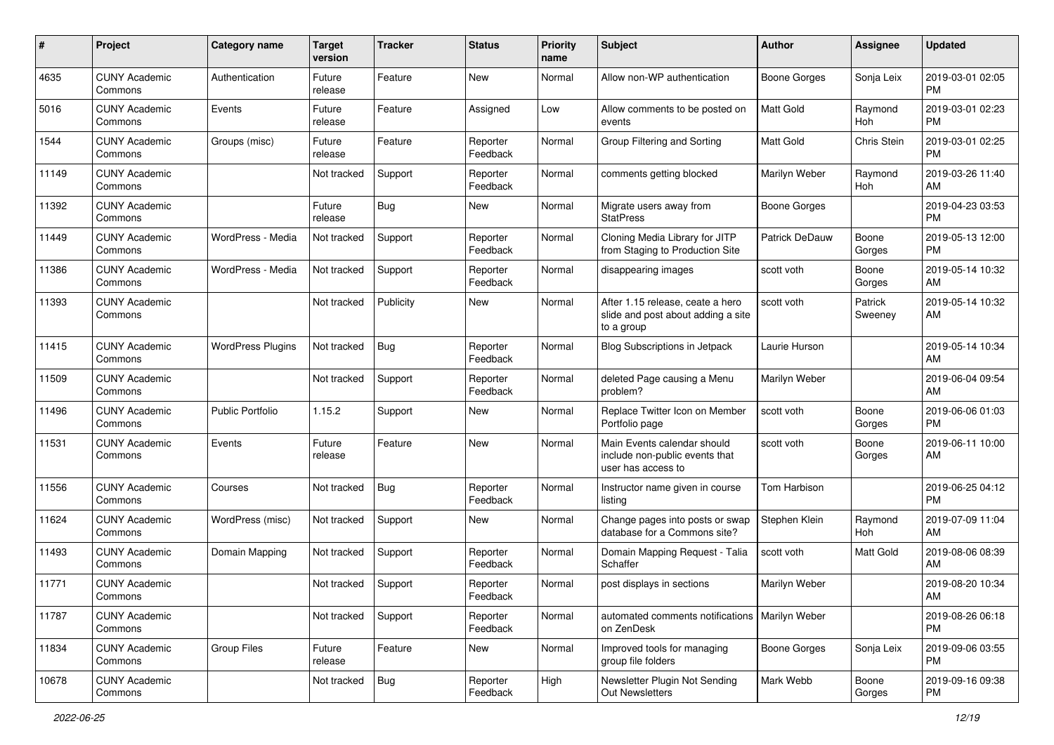| #     | Project                         | <b>Category name</b>     | Target<br>version | <b>Tracker</b> | <b>Status</b>        | <b>Priority</b><br>name | <b>Subject</b>                                                                       | Author                | Assignee           | <b>Updated</b>                |
|-------|---------------------------------|--------------------------|-------------------|----------------|----------------------|-------------------------|--------------------------------------------------------------------------------------|-----------------------|--------------------|-------------------------------|
| 4635  | <b>CUNY Academic</b><br>Commons | Authentication           | Future<br>release | Feature        | New                  | Normal                  | Allow non-WP authentication                                                          | <b>Boone Gorges</b>   | Sonja Leix         | 2019-03-01 02:05<br><b>PM</b> |
| 5016  | <b>CUNY Academic</b><br>Commons | Events                   | Future<br>release | Feature        | Assigned             | Low                     | Allow comments to be posted on<br>events                                             | Matt Gold             | Raymond<br>Hoh     | 2019-03-01 02:23<br><b>PM</b> |
| 1544  | <b>CUNY Academic</b><br>Commons | Groups (misc)            | Future<br>release | Feature        | Reporter<br>Feedback | Normal                  | Group Filtering and Sorting                                                          | Matt Gold             | Chris Stein        | 2019-03-01 02:25<br><b>PM</b> |
| 11149 | <b>CUNY Academic</b><br>Commons |                          | Not tracked       | Support        | Reporter<br>Feedback | Normal                  | comments getting blocked                                                             | Marilyn Weber         | Raymond<br>Hoh     | 2019-03-26 11:40<br>AM        |
| 11392 | <b>CUNY Academic</b><br>Commons |                          | Future<br>release | Bug            | New                  | Normal                  | Migrate users away from<br><b>StatPress</b>                                          | <b>Boone Gorges</b>   |                    | 2019-04-23 03:53<br><b>PM</b> |
| 11449 | <b>CUNY Academic</b><br>Commons | WordPress - Media        | Not tracked       | Support        | Reporter<br>Feedback | Normal                  | Cloning Media Library for JITP<br>from Staging to Production Site                    | <b>Patrick DeDauw</b> | Boone<br>Gorges    | 2019-05-13 12:00<br><b>PM</b> |
| 11386 | <b>CUNY Academic</b><br>Commons | WordPress - Media        | Not tracked       | Support        | Reporter<br>Feedback | Normal                  | disappearing images                                                                  | scott voth            | Boone<br>Gorges    | 2019-05-14 10:32<br>AM        |
| 11393 | <b>CUNY Academic</b><br>Commons |                          | Not tracked       | Publicity      | New                  | Normal                  | After 1.15 release, ceate a hero<br>slide and post about adding a site<br>to a group | scott voth            | Patrick<br>Sweeney | 2019-05-14 10:32<br>AM        |
| 11415 | <b>CUNY Academic</b><br>Commons | <b>WordPress Plugins</b> | Not tracked       | <b>Bug</b>     | Reporter<br>Feedback | Normal                  | <b>Blog Subscriptions in Jetpack</b>                                                 | Laurie Hurson         |                    | 2019-05-14 10:34<br>AM        |
| 11509 | <b>CUNY Academic</b><br>Commons |                          | Not tracked       | Support        | Reporter<br>Feedback | Normal                  | deleted Page causing a Menu<br>problem?                                              | Marilyn Weber         |                    | 2019-06-04 09:54<br>AM        |
| 11496 | <b>CUNY Academic</b><br>Commons | <b>Public Portfolio</b>  | 1.15.2            | Support        | New                  | Normal                  | Replace Twitter Icon on Member<br>Portfolio page                                     | scott voth            | Boone<br>Gorges    | 2019-06-06 01:03<br><b>PM</b> |
| 11531 | <b>CUNY Academic</b><br>Commons | Events                   | Future<br>release | Feature        | <b>New</b>           | Normal                  | Main Events calendar should<br>include non-public events that<br>user has access to  | scott voth            | Boone<br>Gorges    | 2019-06-11 10:00<br>AM        |
| 11556 | <b>CUNY Academic</b><br>Commons | Courses                  | Not tracked       | Bug            | Reporter<br>Feedback | Normal                  | Instructor name given in course<br>listing                                           | Tom Harbison          |                    | 2019-06-25 04:12<br><b>PM</b> |
| 11624 | <b>CUNY Academic</b><br>Commons | WordPress (misc)         | Not tracked       | Support        | New                  | Normal                  | Change pages into posts or swap<br>database for a Commons site?                      | Stephen Klein         | Raymond<br>Hoh     | 2019-07-09 11:04<br>AM        |
| 11493 | <b>CUNY Academic</b><br>Commons | Domain Mapping           | Not tracked       | Support        | Reporter<br>Feedback | Normal                  | Domain Mapping Request - Talia<br>Schaffer                                           | scott voth            | <b>Matt Gold</b>   | 2019-08-06 08:39<br>AM        |
| 11771 | <b>CUNY Academic</b><br>Commons |                          | Not tracked       | Support        | Reporter<br>Feedback | Normal                  | post displays in sections                                                            | Marilyn Weber         |                    | 2019-08-20 10:34<br>AM        |
| 11787 | <b>CUNY Academic</b><br>Commons |                          | Not tracked       | Support        | Reporter<br>Feedback | Normal                  | automated comments notifications   Marilyn Weber<br>on ZenDesk                       |                       |                    | 2019-08-26 06:18<br><b>PM</b> |
| 11834 | <b>CUNY Academic</b><br>Commons | <b>Group Files</b>       | Future<br>release | Feature        | New                  | Normal                  | Improved tools for managing<br>group file folders                                    | <b>Boone Gorges</b>   | Sonja Leix         | 2019-09-06 03:55<br>PM        |
| 10678 | <b>CUNY Academic</b><br>Commons |                          | Not tracked       | Bug            | Reporter<br>Feedback | High                    | Newsletter Plugin Not Sending<br>Out Newsletters                                     | Mark Webb             | Boone<br>Gorges    | 2019-09-16 09:38<br>PM        |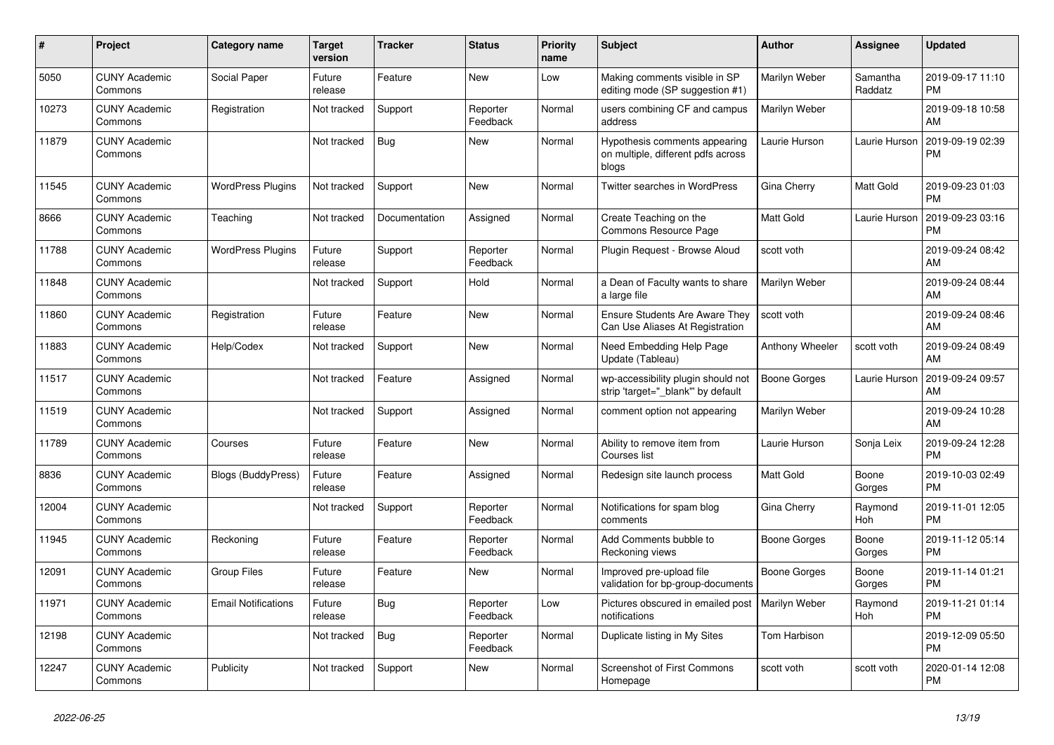| #     | <b>Project</b>                  | <b>Category name</b>       | Target<br>version | Tracker       | <b>Status</b>        | <b>Priority</b><br>name | <b>Subject</b>                                                               | <b>Author</b>       | <b>Assignee</b>       | <b>Updated</b>                |
|-------|---------------------------------|----------------------------|-------------------|---------------|----------------------|-------------------------|------------------------------------------------------------------------------|---------------------|-----------------------|-------------------------------|
| 5050  | <b>CUNY Academic</b><br>Commons | Social Paper               | Future<br>release | Feature       | <b>New</b>           | Low                     | Making comments visible in SP<br>editing mode (SP suggestion #1)             | Marilyn Weber       | Samantha<br>Raddatz   | 2019-09-17 11:10<br><b>PM</b> |
| 10273 | <b>CUNY Academic</b><br>Commons | Registration               | Not tracked       | Support       | Reporter<br>Feedback | Normal                  | users combining CF and campus<br>address                                     | Marilyn Weber       |                       | 2019-09-18 10:58<br>AM        |
| 11879 | <b>CUNY Academic</b><br>Commons |                            | Not tracked       | Bug           | <b>New</b>           | Normal                  | Hypothesis comments appearing<br>on multiple, different pdfs across<br>blogs | Laurie Hurson       | Laurie Hurson         | 2019-09-19 02:39<br><b>PM</b> |
| 11545 | <b>CUNY Academic</b><br>Commons | <b>WordPress Plugins</b>   | Not tracked       | Support       | <b>New</b>           | Normal                  | Twitter searches in WordPress                                                | Gina Cherry         | Matt Gold             | 2019-09-23 01:03<br><b>PM</b> |
| 8666  | <b>CUNY Academic</b><br>Commons | Teaching                   | Not tracked       | Documentation | Assigned             | Normal                  | Create Teaching on the<br>Commons Resource Page                              | Matt Gold           | Laurie Hurson         | 2019-09-23 03:16<br><b>PM</b> |
| 11788 | <b>CUNY Academic</b><br>Commons | <b>WordPress Plugins</b>   | Future<br>release | Support       | Reporter<br>Feedback | Normal                  | Plugin Request - Browse Aloud                                                | scott voth          |                       | 2019-09-24 08:42<br>AM        |
| 11848 | <b>CUNY Academic</b><br>Commons |                            | Not tracked       | Support       | Hold                 | Normal                  | a Dean of Faculty wants to share<br>a large file                             | Marilyn Weber       |                       | 2019-09-24 08:44<br>AM        |
| 11860 | <b>CUNY Academic</b><br>Commons | Registration               | Future<br>release | Feature       | <b>New</b>           | Normal                  | Ensure Students Are Aware They<br>Can Use Aliases At Registration            | scott voth          |                       | 2019-09-24 08:46<br>AM        |
| 11883 | <b>CUNY Academic</b><br>Commons | Help/Codex                 | Not tracked       | Support       | <b>New</b>           | Normal                  | Need Embedding Help Page<br>Update (Tableau)                                 | Anthony Wheeler     | scott voth            | 2019-09-24 08:49<br>AM        |
| 11517 | <b>CUNY Academic</b><br>Commons |                            | Not tracked       | Feature       | Assigned             | Normal                  | wp-accessibility plugin should not<br>strip 'target="_blank" by default      | <b>Boone Gorges</b> | Laurie Hurson         | 2019-09-24 09:57<br>AM        |
| 11519 | <b>CUNY Academic</b><br>Commons |                            | Not tracked       | Support       | Assigned             | Normal                  | comment option not appearing                                                 | Marilyn Weber       |                       | 2019-09-24 10:28<br>AM        |
| 11789 | <b>CUNY Academic</b><br>Commons | Courses                    | Future<br>release | Feature       | <b>New</b>           | Normal                  | Ability to remove item from<br>Courses list                                  | Laurie Hurson       | Sonja Leix            | 2019-09-24 12:28<br><b>PM</b> |
| 8836  | <b>CUNY Academic</b><br>Commons | <b>Blogs (BuddyPress)</b>  | Future<br>release | Feature       | Assigned             | Normal                  | Redesign site launch process                                                 | Matt Gold           | Boone<br>Gorges       | 2019-10-03 02:49<br><b>PM</b> |
| 12004 | <b>CUNY Academic</b><br>Commons |                            | Not tracked       | Support       | Reporter<br>Feedback | Normal                  | Notifications for spam blog<br>comments                                      | Gina Cherry         | Raymond<br>Hoh        | 2019-11-01 12:05<br><b>PM</b> |
| 11945 | <b>CUNY Academic</b><br>Commons | Reckoning                  | Future<br>release | Feature       | Reporter<br>Feedback | Normal                  | Add Comments bubble to<br>Reckoning views                                    | Boone Gorges        | Boone<br>Gorges       | 2019-11-12 05:14<br><b>PM</b> |
| 12091 | <b>CUNY Academic</b><br>Commons | <b>Group Files</b>         | Future<br>release | Feature       | <b>New</b>           | Normal                  | Improved pre-upload file<br>validation for bp-group-documents                | Boone Gorges        | Boone<br>Gorges       | 2019-11-14 01:21<br><b>PM</b> |
| 11971 | <b>CUNY Academic</b><br>Commons | <b>Email Notifications</b> | Future<br>release | Bug           | Reporter<br>Feedback | Low                     | Pictures obscured in emailed post<br>notifications                           | Marilyn Weber       | Raymond<br><b>Hoh</b> | 2019-11-21 01:14<br><b>PM</b> |
| 12198 | <b>CUNY Academic</b><br>Commons |                            | Not tracked       | Bug           | Reporter<br>Feedback | Normal                  | Duplicate listing in My Sites                                                | Tom Harbison        |                       | 2019-12-09 05:50<br><b>PM</b> |
| 12247 | <b>CUNY Academic</b><br>Commons | Publicity                  | Not tracked       | Support       | <b>New</b>           | Normal                  | <b>Screenshot of First Commons</b><br>Homepage                               | scott voth          | scott voth            | 2020-01-14 12:08<br><b>PM</b> |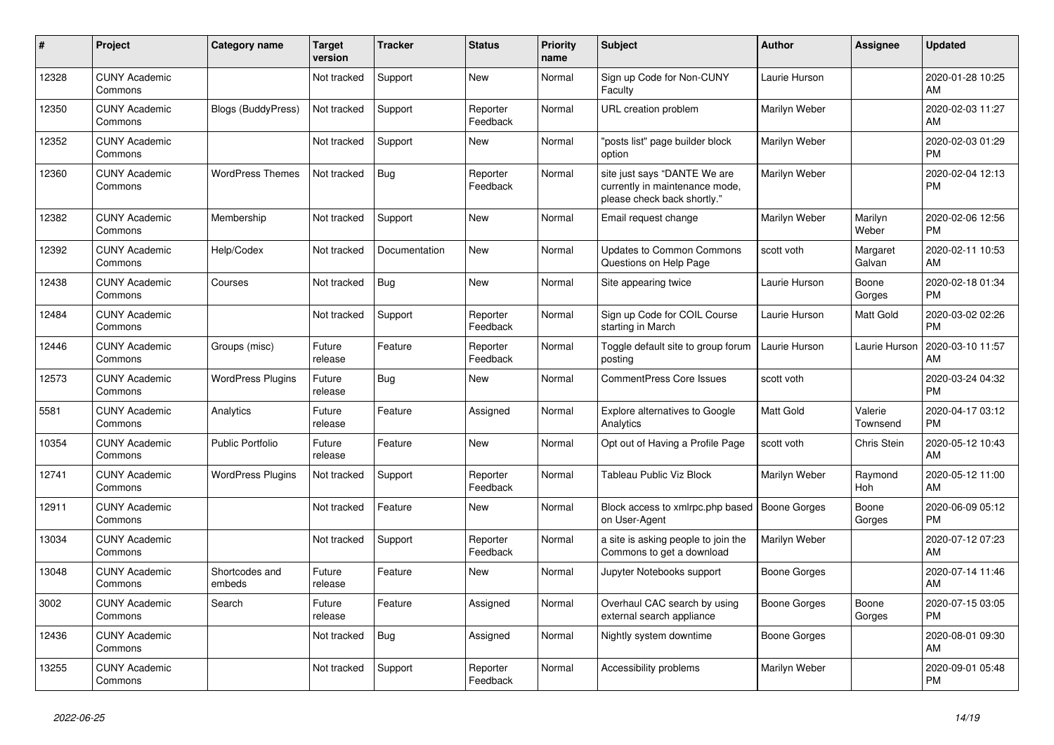| #     | <b>Project</b>                  | Category name             | <b>Target</b><br>version | Tracker       | <b>Status</b>        | <b>Priority</b><br>name | <b>Subject</b>                                                                                | <b>Author</b>       | Assignee            | <b>Updated</b>                |
|-------|---------------------------------|---------------------------|--------------------------|---------------|----------------------|-------------------------|-----------------------------------------------------------------------------------------------|---------------------|---------------------|-------------------------------|
| 12328 | <b>CUNY Academic</b><br>Commons |                           | Not tracked              | Support       | <b>New</b>           | Normal                  | Sign up Code for Non-CUNY<br>Faculty                                                          | Laurie Hurson       |                     | 2020-01-28 10:25<br>AM        |
| 12350 | <b>CUNY Academic</b><br>Commons | <b>Blogs (BuddyPress)</b> | Not tracked              | Support       | Reporter<br>Feedback | Normal                  | URL creation problem                                                                          | Marilyn Weber       |                     | 2020-02-03 11:27<br>AM        |
| 12352 | <b>CUNY Academic</b><br>Commons |                           | Not tracked              | Support       | New                  | Normal                  | 'posts list" page builder block<br>option                                                     | Marilyn Weber       |                     | 2020-02-03 01:29<br><b>PM</b> |
| 12360 | <b>CUNY Academic</b><br>Commons | <b>WordPress Themes</b>   | Not tracked              | Bug           | Reporter<br>Feedback | Normal                  | site just says "DANTE We are<br>currently in maintenance mode,<br>please check back shortly." | Marilyn Weber       |                     | 2020-02-04 12:13<br><b>PM</b> |
| 12382 | <b>CUNY Academic</b><br>Commons | Membership                | Not tracked              | Support       | <b>New</b>           | Normal                  | Email request change                                                                          | Marilyn Weber       | Marilyn<br>Weber    | 2020-02-06 12:56<br><b>PM</b> |
| 12392 | <b>CUNY Academic</b><br>Commons | Help/Codex                | Not tracked              | Documentation | <b>New</b>           | Normal                  | Updates to Common Commons<br>Questions on Help Page                                           | scott voth          | Margaret<br>Galvan  | 2020-02-11 10:53<br>AM        |
| 12438 | <b>CUNY Academic</b><br>Commons | Courses                   | Not tracked              | <b>Bug</b>    | <b>New</b>           | Normal                  | Site appearing twice                                                                          | Laurie Hurson       | Boone<br>Gorges     | 2020-02-18 01:34<br><b>PM</b> |
| 12484 | <b>CUNY Academic</b><br>Commons |                           | Not tracked              | Support       | Reporter<br>Feedback | Normal                  | Sign up Code for COIL Course<br>starting in March                                             | Laurie Hurson       | Matt Gold           | 2020-03-02 02:26<br><b>PM</b> |
| 12446 | <b>CUNY Academic</b><br>Commons | Groups (misc)             | Future<br>release        | Feature       | Reporter<br>Feedback | Normal                  | Toggle default site to group forum<br>posting                                                 | Laurie Hurson       | Laurie Hurson       | 2020-03-10 11:57<br>AM        |
| 12573 | <b>CUNY Academic</b><br>Commons | <b>WordPress Plugins</b>  | Future<br>release        | Bug           | New                  | Normal                  | <b>CommentPress Core Issues</b>                                                               | scott voth          |                     | 2020-03-24 04:32<br><b>PM</b> |
| 5581  | <b>CUNY Academic</b><br>Commons | Analytics                 | Future<br>release        | Feature       | Assigned             | Normal                  | <b>Explore alternatives to Google</b><br>Analytics                                            | <b>Matt Gold</b>    | Valerie<br>Townsend | 2020-04-17 03:12<br><b>PM</b> |
| 10354 | <b>CUNY Academic</b><br>Commons | <b>Public Portfolio</b>   | Future<br>release        | Feature       | New                  | Normal                  | Opt out of Having a Profile Page                                                              | scott voth          | Chris Stein         | 2020-05-12 10:43<br>AM        |
| 12741 | <b>CUNY Academic</b><br>Commons | <b>WordPress Plugins</b>  | Not tracked              | Support       | Reporter<br>Feedback | Normal                  | Tableau Public Viz Block                                                                      | Marilyn Weber       | Raymond<br>Hoh      | 2020-05-12 11:00<br>AM        |
| 12911 | <b>CUNY Academic</b><br>Commons |                           | Not tracked              | Feature       | <b>New</b>           | Normal                  | Block access to xmlrpc.php based<br>on User-Agent                                             | <b>Boone Gorges</b> | Boone<br>Gorges     | 2020-06-09 05:12<br><b>PM</b> |
| 13034 | <b>CUNY Academic</b><br>Commons |                           | Not tracked              | Support       | Reporter<br>Feedback | Normal                  | a site is asking people to join the<br>Commons to get a download                              | Marilyn Weber       |                     | 2020-07-12 07:23<br>AM        |
| 13048 | <b>CUNY Academic</b><br>Commons | Shortcodes and<br>embeds  | Future<br>release        | Feature       | <b>New</b>           | Normal                  | Jupyter Notebooks support                                                                     | <b>Boone Gorges</b> |                     | 2020-07-14 11:46<br>AM        |
| 3002  | <b>CUNY Academic</b><br>Commons | Search                    | Future<br>release        | Feature       | Assigned             | Normal                  | Overhaul CAC search by using<br>external search appliance                                     | <b>Boone Gorges</b> | Boone<br>Gorges     | 2020-07-15 03:05<br><b>PM</b> |
| 12436 | <b>CUNY Academic</b><br>Commons |                           | Not tracked              | Bug           | Assigned             | Normal                  | Nightly system downtime                                                                       | <b>Boone Gorges</b> |                     | 2020-08-01 09:30<br>AM        |
| 13255 | <b>CUNY Academic</b><br>Commons |                           | Not tracked              | Support       | Reporter<br>Feedback | Normal                  | Accessibility problems                                                                        | Marilyn Weber       |                     | 2020-09-01 05:48<br><b>PM</b> |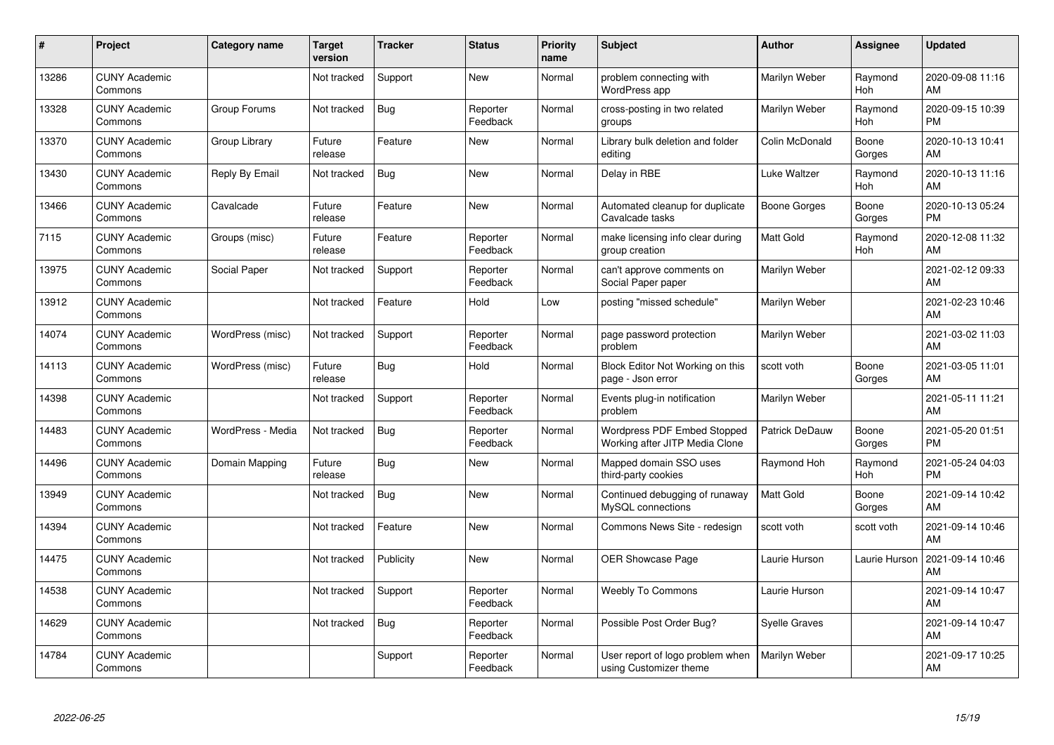| #     | Project                         | <b>Category name</b> | Target<br>version | <b>Tracker</b> | <b>Status</b>        | <b>Priority</b><br>name | <b>Subject</b>                                                | <b>Author</b>        | <b>Assignee</b>       | <b>Updated</b>                |
|-------|---------------------------------|----------------------|-------------------|----------------|----------------------|-------------------------|---------------------------------------------------------------|----------------------|-----------------------|-------------------------------|
| 13286 | <b>CUNY Academic</b><br>Commons |                      | Not tracked       | Support        | <b>New</b>           | Normal                  | problem connecting with<br>WordPress app                      | Marilyn Weber        | Raymond<br>Hoh        | 2020-09-08 11:16<br>AM        |
| 13328 | <b>CUNY Academic</b><br>Commons | Group Forums         | Not tracked       | Bug            | Reporter<br>Feedback | Normal                  | cross-posting in two related<br>groups                        | Marilyn Weber        | Raymond<br><b>Hoh</b> | 2020-09-15 10:39<br><b>PM</b> |
| 13370 | <b>CUNY Academic</b><br>Commons | Group Library        | Future<br>release | Feature        | <b>New</b>           | Normal                  | Library bulk deletion and folder<br>editing                   | Colin McDonald       | Boone<br>Gorges       | 2020-10-13 10:41<br>AM        |
| 13430 | <b>CUNY Academic</b><br>Commons | Reply By Email       | Not tracked       | Bug            | <b>New</b>           | Normal                  | Delay in RBE                                                  | Luke Waltzer         | Raymond<br>Hoh        | 2020-10-13 11:16<br>AM        |
| 13466 | <b>CUNY Academic</b><br>Commons | Cavalcade            | Future<br>release | Feature        | <b>New</b>           | Normal                  | Automated cleanup for duplicate<br>Cavalcade tasks            | Boone Gorges         | Boone<br>Gorges       | 2020-10-13 05:24<br><b>PM</b> |
| 7115  | <b>CUNY Academic</b><br>Commons | Groups (misc)        | Future<br>release | Feature        | Reporter<br>Feedback | Normal                  | make licensing info clear during<br>group creation            | Matt Gold            | Raymond<br>Hoh        | 2020-12-08 11:32<br>AM        |
| 13975 | <b>CUNY Academic</b><br>Commons | Social Paper         | Not tracked       | Support        | Reporter<br>Feedback | Normal                  | can't approve comments on<br>Social Paper paper               | Marilyn Weber        |                       | 2021-02-12 09:33<br>AM        |
| 13912 | <b>CUNY Academic</b><br>Commons |                      | Not tracked       | Feature        | Hold                 | Low                     | posting "missed schedule"                                     | Marilyn Weber        |                       | 2021-02-23 10:46<br>AM        |
| 14074 | <b>CUNY Academic</b><br>Commons | WordPress (misc)     | Not tracked       | Support        | Reporter<br>Feedback | Normal                  | page password protection<br>problem                           | Marilyn Weber        |                       | 2021-03-02 11:03<br>AM        |
| 14113 | <b>CUNY Academic</b><br>Commons | WordPress (misc)     | Future<br>release | Bug            | Hold                 | Normal                  | Block Editor Not Working on this<br>page - Json error         | scott voth           | Boone<br>Gorges       | 2021-03-05 11:01<br>AM        |
| 14398 | <b>CUNY Academic</b><br>Commons |                      | Not tracked       | Support        | Reporter<br>Feedback | Normal                  | Events plug-in notification<br>problem                        | Marilyn Weber        |                       | 2021-05-11 11:21<br>AM        |
| 14483 | <b>CUNY Academic</b><br>Commons | WordPress - Media    | Not tracked       | Bug            | Reporter<br>Feedback | Normal                  | Wordpress PDF Embed Stopped<br>Working after JITP Media Clone | Patrick DeDauw       | Boone<br>Gorges       | 2021-05-20 01:51<br><b>PM</b> |
| 14496 | <b>CUNY Academic</b><br>Commons | Domain Mapping       | Future<br>release | Bug            | <b>New</b>           | Normal                  | Mapped domain SSO uses<br>third-party cookies                 | Raymond Hoh          | Raymond<br>Hoh        | 2021-05-24 04:03<br><b>PM</b> |
| 13949 | <b>CUNY Academic</b><br>Commons |                      | Not tracked       | Bug            | <b>New</b>           | Normal                  | Continued debugging of runaway<br>MySQL connections           | <b>Matt Gold</b>     | Boone<br>Gorges       | 2021-09-14 10:42<br>AM        |
| 14394 | <b>CUNY Academic</b><br>Commons |                      | Not tracked       | Feature        | <b>New</b>           | Normal                  | Commons News Site - redesign                                  | scott voth           | scott voth            | 2021-09-14 10:46<br>AM        |
| 14475 | <b>CUNY Academic</b><br>Commons |                      | Not tracked       | Publicity      | <b>New</b>           | Normal                  | <b>OER Showcase Page</b>                                      | Laurie Hurson        | Laurie Hurson         | 2021-09-14 10:46<br>AM        |
| 14538 | <b>CUNY Academic</b><br>Commons |                      | Not tracked       | Support        | Reporter<br>Feedback | Normal                  | <b>Weebly To Commons</b>                                      | Laurie Hurson        |                       | 2021-09-14 10:47<br>AM        |
| 14629 | <b>CUNY Academic</b><br>Commons |                      | Not tracked       | Bug            | Reporter<br>Feedback | Normal                  | Possible Post Order Bug?                                      | <b>Syelle Graves</b> |                       | 2021-09-14 10:47<br>AM        |
| 14784 | <b>CUNY Academic</b><br>Commons |                      |                   | Support        | Reporter<br>Feedback | Normal                  | User report of logo problem when<br>using Customizer theme    | Marilyn Weber        |                       | 2021-09-17 10:25<br>AM        |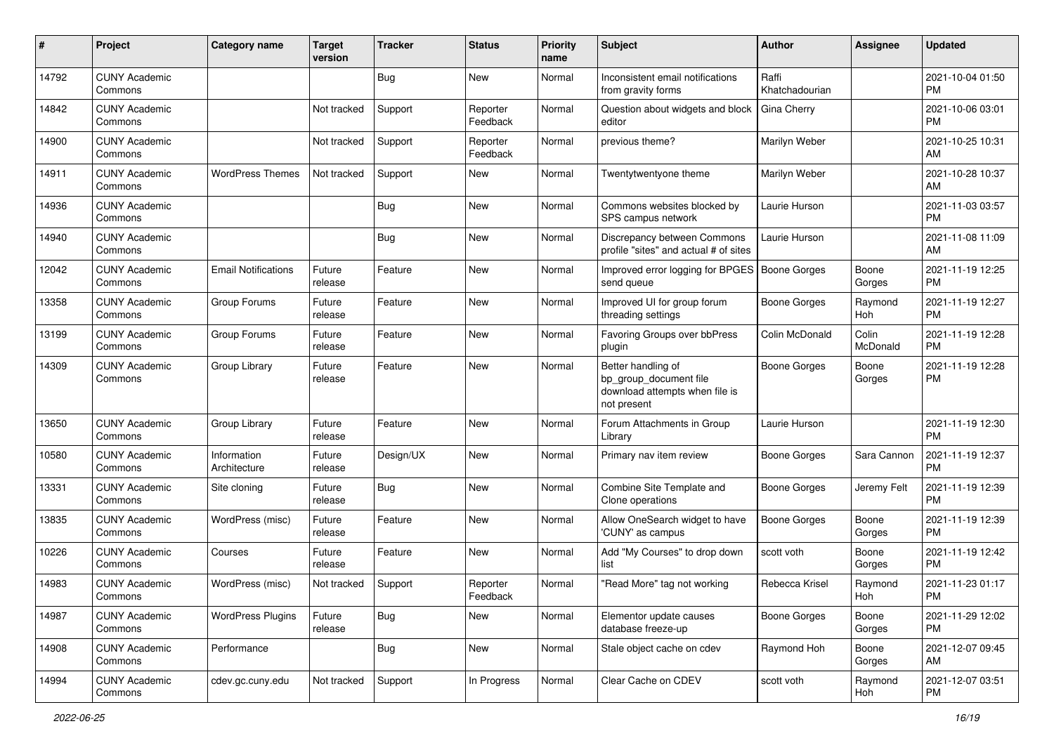| #     | Project                         | <b>Category name</b>        | <b>Target</b><br>version | <b>Tracker</b> | <b>Status</b>        | <b>Priority</b><br>name | <b>Subject</b>                                                                                | <b>Author</b>           | <b>Assignee</b>   | <b>Updated</b>                |
|-------|---------------------------------|-----------------------------|--------------------------|----------------|----------------------|-------------------------|-----------------------------------------------------------------------------------------------|-------------------------|-------------------|-------------------------------|
| 14792 | <b>CUNY Academic</b><br>Commons |                             |                          | <b>Bug</b>     | <b>New</b>           | Normal                  | Inconsistent email notifications<br>from gravity forms                                        | Raffi<br>Khatchadourian |                   | 2021-10-04 01:50<br><b>PM</b> |
| 14842 | <b>CUNY Academic</b><br>Commons |                             | Not tracked              | Support        | Reporter<br>Feedback | Normal                  | Question about widgets and block<br>editor                                                    | <b>Gina Cherry</b>      |                   | 2021-10-06 03:01<br><b>PM</b> |
| 14900 | <b>CUNY Academic</b><br>Commons |                             | Not tracked              | Support        | Reporter<br>Feedback | Normal                  | previous theme?                                                                               | Marilyn Weber           |                   | 2021-10-25 10:31<br>AM        |
| 14911 | <b>CUNY Academic</b><br>Commons | <b>WordPress Themes</b>     | Not tracked              | Support        | New                  | Normal                  | Twentytwentyone theme                                                                         | Marilyn Weber           |                   | 2021-10-28 10:37<br>AM        |
| 14936 | <b>CUNY Academic</b><br>Commons |                             |                          | <b>Bug</b>     | New                  | Normal                  | Commons websites blocked by<br>SPS campus network                                             | Laurie Hurson           |                   | 2021-11-03 03:57<br><b>PM</b> |
| 14940 | <b>CUNY Academic</b><br>Commons |                             |                          | <b>Bug</b>     | New                  | Normal                  | Discrepancy between Commons<br>profile "sites" and actual # of sites                          | Laurie Hurson           |                   | 2021-11-08 11:09<br>AM        |
| 12042 | <b>CUNY Academic</b><br>Commons | <b>Email Notifications</b>  | Future<br>release        | Feature        | New                  | Normal                  | Improved error logging for BPGES<br>send queue                                                | <b>Boone Gorges</b>     | Boone<br>Gorges   | 2021-11-19 12:25<br><b>PM</b> |
| 13358 | <b>CUNY Academic</b><br>Commons | Group Forums                | Future<br>release        | Feature        | <b>New</b>           | Normal                  | Improved UI for group forum<br>threading settings                                             | <b>Boone Gorges</b>     | Raymond<br>Hoh    | 2021-11-19 12:27<br><b>PM</b> |
| 13199 | <b>CUNY Academic</b><br>Commons | Group Forums                | Future<br>release        | Feature        | <b>New</b>           | Normal                  | Favoring Groups over bbPress<br>plugin                                                        | Colin McDonald          | Colin<br>McDonald | 2021-11-19 12:28<br><b>PM</b> |
| 14309 | <b>CUNY Academic</b><br>Commons | Group Library               | Future<br>release        | Feature        | New                  | Normal                  | Better handling of<br>bp_group_document file<br>download attempts when file is<br>not present | <b>Boone Gorges</b>     | Boone<br>Gorges   | 2021-11-19 12:28<br>PM        |
| 13650 | <b>CUNY Academic</b><br>Commons | Group Library               | Future<br>release        | Feature        | New                  | Normal                  | Forum Attachments in Group<br>Library                                                         | Laurie Hurson           |                   | 2021-11-19 12:30<br><b>PM</b> |
| 10580 | <b>CUNY Academic</b><br>Commons | Information<br>Architecture | Future<br>release        | Design/UX      | New                  | Normal                  | Primary nav item review                                                                       | <b>Boone Gorges</b>     | Sara Cannon       | 2021-11-19 12:37<br><b>PM</b> |
| 13331 | <b>CUNY Academic</b><br>Commons | Site cloning                | Future<br>release        | Bug            | New                  | Normal                  | Combine Site Template and<br>Clone operations                                                 | Boone Gorges            | Jeremy Felt       | 2021-11-19 12:39<br><b>PM</b> |
| 13835 | <b>CUNY Academic</b><br>Commons | WordPress (misc)            | Future<br>release        | Feature        | <b>New</b>           | Normal                  | Allow OneSearch widget to have<br>'CUNY' as campus                                            | <b>Boone Gorges</b>     | Boone<br>Gorges   | 2021-11-19 12:39<br><b>PM</b> |
| 10226 | <b>CUNY Academic</b><br>Commons | Courses                     | Future<br>release        | Feature        | New                  | Normal                  | Add "My Courses" to drop down<br>list                                                         | scott voth              | Boone<br>Gorges   | 2021-11-19 12:42<br><b>PM</b> |
| 14983 | <b>CUNY Academic</b><br>Commons | WordPress (misc)            | Not tracked              | Support        | Reporter<br>Feedback | Normal                  | "Read More" tag not working                                                                   | Rebecca Krisel          | Raymond<br>Hoh    | 2021-11-23 01:17<br>PM        |
| 14987 | <b>CUNY Academic</b><br>Commons | <b>WordPress Plugins</b>    | Future<br>release        | Bug            | New                  | Normal                  | Elementor update causes<br>database freeze-up                                                 | <b>Boone Gorges</b>     | Boone<br>Gorges   | 2021-11-29 12:02<br>PM        |
| 14908 | <b>CUNY Academic</b><br>Commons | Performance                 |                          | <b>Bug</b>     | New                  | Normal                  | Stale object cache on cdev                                                                    | Raymond Hoh             | Boone<br>Gorges   | 2021-12-07 09:45<br>AM        |
| 14994 | <b>CUNY Academic</b><br>Commons | cdev.gc.cuny.edu            | Not tracked              | Support        | In Progress          | Normal                  | Clear Cache on CDEV                                                                           | scott voth              | Raymond<br>Hoh    | 2021-12-07 03:51<br><b>PM</b> |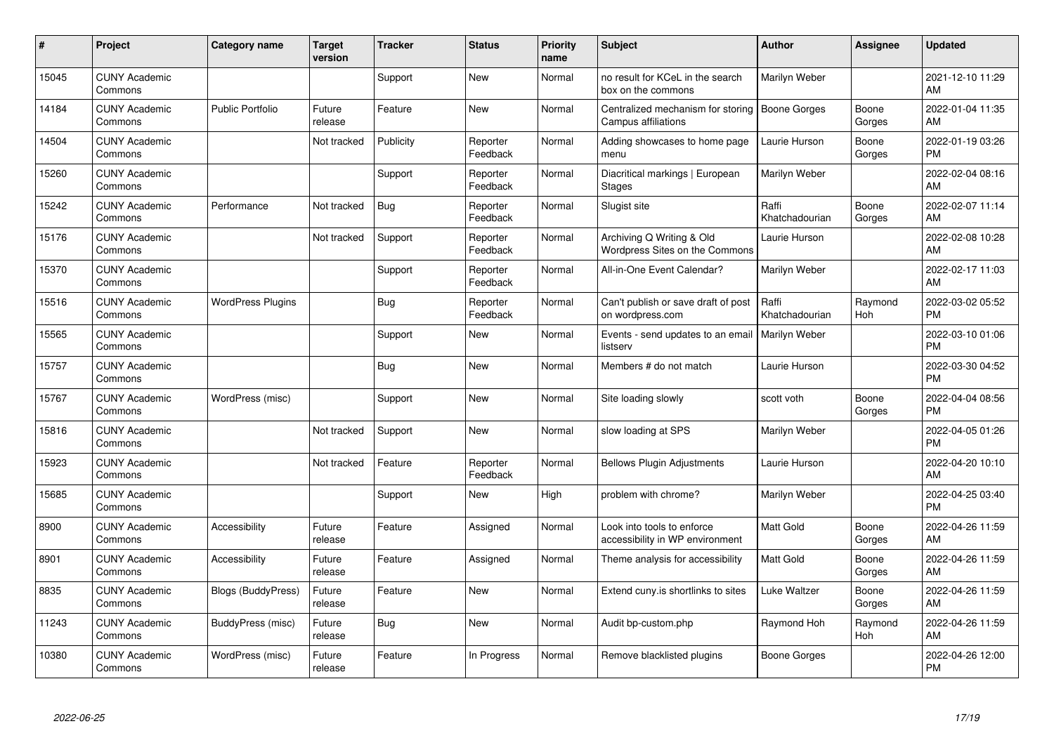| #     | Project                         | <b>Category name</b>      | <b>Target</b><br>version | <b>Tracker</b> | <b>Status</b>        | <b>Priority</b><br>name | <b>Subject</b>                                                  | <b>Author</b>           | <b>Assignee</b> | <b>Updated</b>                |
|-------|---------------------------------|---------------------------|--------------------------|----------------|----------------------|-------------------------|-----------------------------------------------------------------|-------------------------|-----------------|-------------------------------|
| 15045 | <b>CUNY Academic</b><br>Commons |                           |                          | Support        | <b>New</b>           | Normal                  | no result for KCeL in the search<br>box on the commons          | Marilyn Weber           |                 | 2021-12-10 11:29<br>AM        |
| 14184 | <b>CUNY Academic</b><br>Commons | <b>Public Portfolio</b>   | Future<br>release        | Feature        | <b>New</b>           | Normal                  | Centralized mechanism for storing<br><b>Campus affiliations</b> | Boone Gorges            | Boone<br>Gorges | 2022-01-04 11:35<br>AM        |
| 14504 | <b>CUNY Academic</b><br>Commons |                           | Not tracked              | Publicity      | Reporter<br>Feedback | Normal                  | Adding showcases to home page<br>menu                           | Laurie Hurson           | Boone<br>Gorges | 2022-01-19 03:26<br><b>PM</b> |
| 15260 | <b>CUNY Academic</b><br>Commons |                           |                          | Support        | Reporter<br>Feedback | Normal                  | Diacritical markings   European<br><b>Stages</b>                | Marilyn Weber           |                 | 2022-02-04 08:16<br>AM        |
| 15242 | <b>CUNY Academic</b><br>Commons | Performance               | Not tracked              | Bug            | Reporter<br>Feedback | Normal                  | Slugist site                                                    | Raffi<br>Khatchadourian | Boone<br>Gorges | 2022-02-07 11:14<br>AM        |
| 15176 | <b>CUNY Academic</b><br>Commons |                           | Not tracked              | Support        | Reporter<br>Feedback | Normal                  | Archiving Q Writing & Old<br>Wordpress Sites on the Commons     | Laurie Hurson           |                 | 2022-02-08 10:28<br>AM        |
| 15370 | <b>CUNY Academic</b><br>Commons |                           |                          | Support        | Reporter<br>Feedback | Normal                  | All-in-One Event Calendar?                                      | Marilyn Weber           |                 | 2022-02-17 11:03<br>AM        |
| 15516 | <b>CUNY Academic</b><br>Commons | <b>WordPress Plugins</b>  |                          | <b>Bug</b>     | Reporter<br>Feedback | Normal                  | Can't publish or save draft of post<br>on wordpress.com         | Raffi<br>Khatchadourian | Raymond<br>Hoh  | 2022-03-02 05:52<br><b>PM</b> |
| 15565 | <b>CUNY Academic</b><br>Commons |                           |                          | Support        | New                  | Normal                  | Events - send updates to an email<br>listserv                   | <b>Marilyn Weber</b>    |                 | 2022-03-10 01:06<br><b>PM</b> |
| 15757 | <b>CUNY Academic</b><br>Commons |                           |                          | <b>Bug</b>     | <b>New</b>           | Normal                  | Members # do not match                                          | Laurie Hurson           |                 | 2022-03-30 04:52<br><b>PM</b> |
| 15767 | <b>CUNY Academic</b><br>Commons | WordPress (misc)          |                          | Support        | <b>New</b>           | Normal                  | Site loading slowly                                             | scott voth              | Boone<br>Gorges | 2022-04-04 08:56<br><b>PM</b> |
| 15816 | <b>CUNY Academic</b><br>Commons |                           | Not tracked              | Support        | New                  | Normal                  | slow loading at SPS                                             | Marilyn Weber           |                 | 2022-04-05 01:26<br><b>PM</b> |
| 15923 | <b>CUNY Academic</b><br>Commons |                           | Not tracked              | Feature        | Reporter<br>Feedback | Normal                  | <b>Bellows Plugin Adjustments</b>                               | Laurie Hurson           |                 | 2022-04-20 10:10<br>AM        |
| 15685 | <b>CUNY Academic</b><br>Commons |                           |                          | Support        | <b>New</b>           | High                    | problem with chrome?                                            | Marilyn Weber           |                 | 2022-04-25 03:40<br><b>PM</b> |
| 8900  | <b>CUNY Academic</b><br>Commons | Accessibility             | Future<br>release        | Feature        | Assigned             | Normal                  | Look into tools to enforce<br>accessibility in WP environment   | <b>Matt Gold</b>        | Boone<br>Gorges | 2022-04-26 11:59<br>AM        |
| 8901  | <b>CUNY Academic</b><br>Commons | Accessibility             | Future<br>release        | Feature        | Assigned             | Normal                  | Theme analysis for accessibility                                | <b>Matt Gold</b>        | Boone<br>Gorges | 2022-04-26 11:59<br>AM        |
| 8835  | <b>CUNY Academic</b><br>Commons | <b>Blogs (BuddyPress)</b> | Future<br>release        | Feature        | <b>New</b>           | Normal                  | Extend cuny.is shortlinks to sites                              | Luke Waltzer            | Boone<br>Gorges | 2022-04-26 11:59<br>AM        |
| 11243 | <b>CUNY Academic</b><br>Commons | BuddyPress (misc)         | Future<br>release        | <b>Bug</b>     | <b>New</b>           | Normal                  | Audit bp-custom.php                                             | Raymond Hoh             | Raymond<br>Hoh  | 2022-04-26 11:59<br>AM        |
| 10380 | <b>CUNY Academic</b><br>Commons | WordPress (misc)          | Future<br>release        | Feature        | In Progress          | Normal                  | Remove blacklisted plugins                                      | Boone Gorges            |                 | 2022-04-26 12:00<br><b>PM</b> |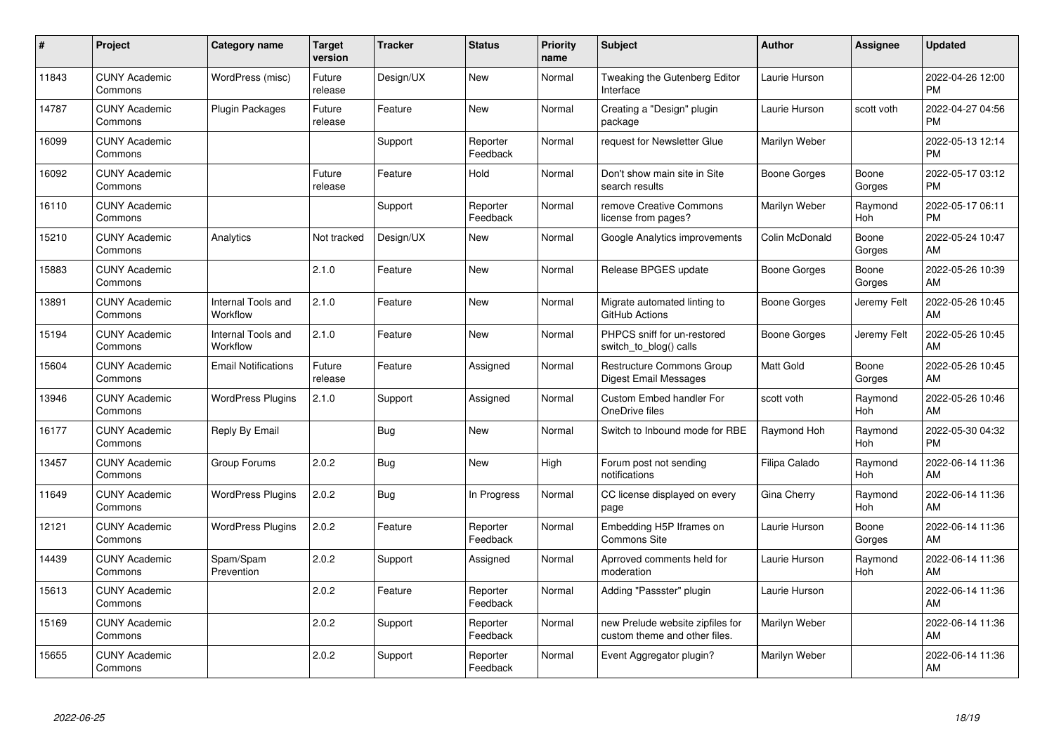| #     | Project                         | <b>Category name</b>           | Target<br>version | <b>Tracker</b> | <b>Status</b>        | <b>Priority</b><br>name | <b>Subject</b>                                                    | <b>Author</b>       | <b>Assignee</b>       | <b>Updated</b>                |
|-------|---------------------------------|--------------------------------|-------------------|----------------|----------------------|-------------------------|-------------------------------------------------------------------|---------------------|-----------------------|-------------------------------|
| 11843 | <b>CUNY Academic</b><br>Commons | WordPress (misc)               | Future<br>release | Design/UX      | <b>New</b>           | Normal                  | <b>Tweaking the Gutenberg Editor</b><br>Interface                 | Laurie Hurson       |                       | 2022-04-26 12:00<br><b>PM</b> |
| 14787 | <b>CUNY Academic</b><br>Commons | <b>Plugin Packages</b>         | Future<br>release | Feature        | <b>New</b>           | Normal                  | Creating a "Design" plugin<br>package                             | Laurie Hurson       | scott voth            | 2022-04-27 04:56<br><b>PM</b> |
| 16099 | <b>CUNY Academic</b><br>Commons |                                |                   | Support        | Reporter<br>Feedback | Normal                  | request for Newsletter Glue                                       | Marilyn Weber       |                       | 2022-05-13 12:14<br><b>PM</b> |
| 16092 | <b>CUNY Academic</b><br>Commons |                                | Future<br>release | Feature        | Hold                 | Normal                  | Don't show main site in Site<br>search results                    | Boone Gorges        | Boone<br>Gorges       | 2022-05-17 03:12<br><b>PM</b> |
| 16110 | <b>CUNY Academic</b><br>Commons |                                |                   | Support        | Reporter<br>Feedback | Normal                  | remove Creative Commons<br>license from pages?                    | Marilyn Weber       | Raymond<br>Hoh        | 2022-05-17 06:11<br><b>PM</b> |
| 15210 | <b>CUNY Academic</b><br>Commons | Analytics                      | Not tracked       | Design/UX      | <b>New</b>           | Normal                  | Google Analytics improvements                                     | Colin McDonald      | Boone<br>Gorges       | 2022-05-24 10:47<br>AM        |
| 15883 | <b>CUNY Academic</b><br>Commons |                                | 2.1.0             | Feature        | New                  | Normal                  | Release BPGES update                                              | Boone Gorges        | Boone<br>Gorges       | 2022-05-26 10:39<br>AM        |
| 13891 | <b>CUNY Academic</b><br>Commons | Internal Tools and<br>Workflow | 2.1.0             | Feature        | <b>New</b>           | Normal                  | Migrate automated linting to<br>GitHub Actions                    | <b>Boone Gorges</b> | Jeremy Felt           | 2022-05-26 10:45<br>AM        |
| 15194 | <b>CUNY Academic</b><br>Commons | Internal Tools and<br>Workflow | 2.1.0             | Feature        | New                  | Normal                  | PHPCS sniff for un-restored<br>switch_to_blog() calls             | Boone Gorges        | Jeremy Felt           | 2022-05-26 10:45<br>AM        |
| 15604 | <b>CUNY Academic</b><br>Commons | <b>Email Notifications</b>     | Future<br>release | Feature        | Assigned             | Normal                  | Restructure Commons Group<br>Digest Email Messages                | Matt Gold           | Boone<br>Gorges       | 2022-05-26 10:45<br>AM        |
| 13946 | <b>CUNY Academic</b><br>Commons | <b>WordPress Plugins</b>       | 2.1.0             | Support        | Assigned             | Normal                  | Custom Embed handler For<br>OneDrive files                        | scott voth          | Raymond<br>Hoh        | 2022-05-26 10:46<br>AM        |
| 16177 | <b>CUNY Academic</b><br>Commons | Reply By Email                 |                   | <b>Bug</b>     | <b>New</b>           | Normal                  | Switch to Inbound mode for RBE                                    | Raymond Hoh         | Raymond<br>Hoh        | 2022-05-30 04:32<br><b>PM</b> |
| 13457 | <b>CUNY Academic</b><br>Commons | Group Forums                   | 2.0.2             | Bug            | New                  | High                    | Forum post not sending<br>notifications                           | Filipa Calado       | Raymond<br><b>Hoh</b> | 2022-06-14 11:36<br>AM        |
| 11649 | <b>CUNY Academic</b><br>Commons | <b>WordPress Plugins</b>       | 2.0.2             | Bug            | In Progress          | Normal                  | CC license displayed on every<br>page                             | Gina Cherry         | Raymond<br>Hoh        | 2022-06-14 11:36<br>AM        |
| 12121 | <b>CUNY Academic</b><br>Commons | <b>WordPress Plugins</b>       | 2.0.2             | Feature        | Reporter<br>Feedback | Normal                  | Embedding H5P Iframes on<br><b>Commons Site</b>                   | Laurie Hurson       | Boone<br>Gorges       | 2022-06-14 11:36<br>AM        |
| 14439 | <b>CUNY Academic</b><br>Commons | Spam/Spam<br>Prevention        | 2.0.2             | Support        | Assigned             | Normal                  | Aprroved comments held for<br>moderation                          | Laurie Hurson       | Raymond<br><b>Hoh</b> | 2022-06-14 11:36<br>AM        |
| 15613 | <b>CUNY Academic</b><br>Commons |                                | 2.0.2             | Feature        | Reporter<br>Feedback | Normal                  | Adding "Passster" plugin                                          | Laurie Hurson       |                       | 2022-06-14 11:36<br>AM        |
| 15169 | <b>CUNY Academic</b><br>Commons |                                | 2.0.2             | Support        | Reporter<br>Feedback | Normal                  | new Prelude website zipfiles for<br>custom theme and other files. | Marilyn Weber       |                       | 2022-06-14 11:36<br>AM        |
| 15655 | <b>CUNY Academic</b><br>Commons |                                | 2.0.2             | Support        | Reporter<br>Feedback | Normal                  | Event Aggregator plugin?                                          | Marilyn Weber       |                       | 2022-06-14 11:36<br>AM        |